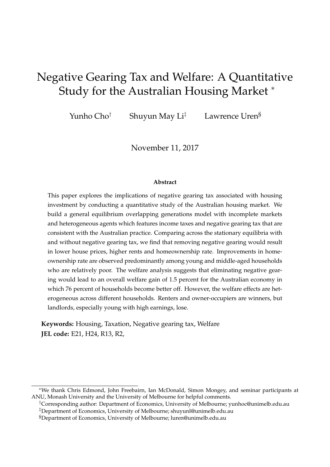# Negative Gearing Tax and Welfare: A Quantitative Study for the Australian Housing Market <sup>∗</sup>

Yunho Cho<sup>†</sup> Shuyun May Li<sup>‡</sup> Lawrence Uren<sup>§</sup>

November 11, 2017

#### **Abstract**

This paper explores the implications of negative gearing tax associated with housing investment by conducting a quantitative study of the Australian housing market. We build a general equilibrium overlapping generations model with incomplete markets and heterogeneous agents which features income taxes and negative gearing tax that are consistent with the Australian practice. Comparing across the stationary equilibria with and without negative gearing tax, we find that removing negative gearing would result in lower house prices, higher rents and homeownership rate. Improvements in homeownership rate are observed predominantly among young and middle-aged households who are relatively poor. The welfare analysis suggests that eliminating negative gearing would lead to an overall welfare gain of 1.5 percent for the Australian economy in which 76 percent of households become better off. However, the welfare effects are heterogeneous across different households. Renters and owner-occupiers are winners, but landlords, especially young with high earnings, lose.

**Keywords:** Housing, Taxation, Negative gearing tax, Welfare **JEL code:** E21, H24, R13, R2,

<sup>∗</sup>We thank Chris Edmond, John Freebairn, Ian McDonald, Simon Mongey, and seminar participants at ANU, Monash University and the University of Melbourne for helpful comments.

<sup>†</sup>Corresponding author: Department of Economics, University of Melbourne; yunhoc@unimelb.edu.au ‡Department of Economics, University of Melbourne; shuyunl@unimelb.edu.au

<sup>§</sup>Department of Economics, University of Melbourne; luren@unimelb.edu.au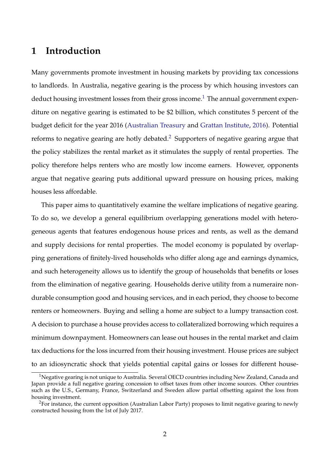### **1 Introduction**

Many governments promote investment in housing markets by providing tax concessions to landlords. In Australia, negative gearing is the process by which housing investors can deduct housing investment losses from their gross income.<sup>[1](#page-1-0)</sup> The annual government expenditure on negative gearing is estimated to be \$2 billion, which constitutes 5 percent of the budget deficit for the year 2016 [\(Australian Treasury](#page-36-0) and [Grattan Institute,](#page-37-0) [2016\)](#page-36-0). Potential reforms to negative gearing are hotly debated.<sup>[2](#page-1-1)</sup> Supporters of negative gearing argue that the policy stabilizes the rental market as it stimulates the supply of rental properties. The policy therefore helps renters who are mostly low income earners. However, opponents argue that negative gearing puts additional upward pressure on housing prices, making houses less affordable.

This paper aims to quantitatively examine the welfare implications of negative gearing. To do so, we develop a general equilibrium overlapping generations model with heterogeneous agents that features endogenous house prices and rents, as well as the demand and supply decisions for rental properties. The model economy is populated by overlapping generations of finitely-lived households who differ along age and earnings dynamics, and such heterogeneity allows us to identify the group of households that benefits or loses from the elimination of negative gearing. Households derive utility from a numeraire nondurable consumption good and housing services, and in each period, they choose to become renters or homeowners. Buying and selling a home are subject to a lumpy transaction cost. A decision to purchase a house provides access to collateralized borrowing which requires a minimum downpayment. Homeowners can lease out houses in the rental market and claim tax deductions for the loss incurred from their housing investment. House prices are subject to an idiosyncratic shock that yields potential capital gains or losses for different house-

<span id="page-1-0"></span><sup>&</sup>lt;sup>1</sup>Negative gearing is not unique to Australia. Several OECD countries including New Zealand, Canada and Japan provide a full negative gearing concession to offset taxes from other income sources. Other countries such as the U.S., Germany, France, Switzerland and Sweden allow partial offsetting against the loss from housing investment.

<span id="page-1-1"></span><sup>&</sup>lt;sup>2</sup>For instance, the current opposition (Australian Labor Party) proposes to limit negative gearing to newly constructed housing from the 1st of July 2017.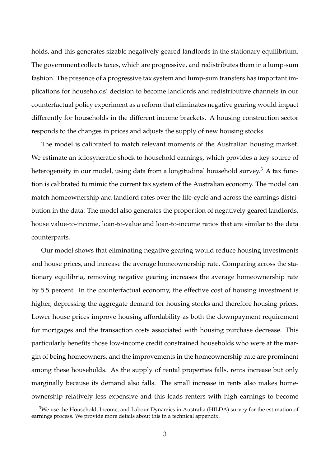holds, and this generates sizable negatively geared landlords in the stationary equilibrium. The government collects taxes, which are progressive, and redistributes them in a lump-sum fashion. The presence of a progressive tax system and lump-sum transfers has important implications for households' decision to become landlords and redistributive channels in our counterfactual policy experiment as a reform that eliminates negative gearing would impact differently for households in the different income brackets. A housing construction sector responds to the changes in prices and adjusts the supply of new housing stocks.

The model is calibrated to match relevant moments of the Australian housing market. We estimate an idiosyncratic shock to household earnings, which provides a key source of heterogeneity in our model, using data from a longitudinal household survey.<sup>[3](#page-2-0)</sup> A tax function is calibrated to mimic the current tax system of the Australian economy. The model can match homeownership and landlord rates over the life-cycle and across the earnings distribution in the data. The model also generates the proportion of negatively geared landlords, house value-to-income, loan-to-value and loan-to-income ratios that are similar to the data counterparts.

Our model shows that eliminating negative gearing would reduce housing investments and house prices, and increase the average homeownership rate. Comparing across the stationary equilibria, removing negative gearing increases the average homeownership rate by 5.5 percent. In the counterfactual economy, the effective cost of housing investment is higher, depressing the aggregate demand for housing stocks and therefore housing prices. Lower house prices improve housing affordability as both the downpayment requirement for mortgages and the transaction costs associated with housing purchase decrease. This particularly benefits those low-income credit constrained households who were at the margin of being homeowners, and the improvements in the homeownership rate are prominent among these households. As the supply of rental properties falls, rents increase but only marginally because its demand also falls. The small increase in rents also makes homeownership relatively less expensive and this leads renters with high earnings to become

<span id="page-2-0"></span><sup>&</sup>lt;sup>3</sup>We use the Household, Income, and Labour Dynamics in Australia (HILDA) survey for the estimation of earnings process. We provide more details about this in a technical appendix.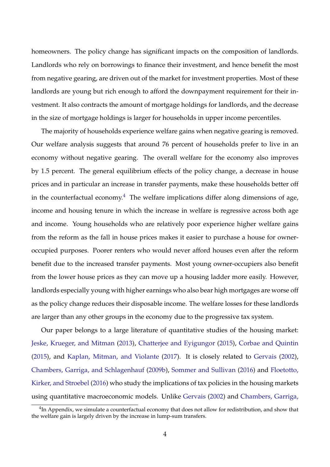homeowners. The policy change has significant impacts on the composition of landlords. Landlords who rely on borrowings to finance their investment, and hence benefit the most from negative gearing, are driven out of the market for investment properties. Most of these landlords are young but rich enough to afford the downpayment requirement for their investment. It also contracts the amount of mortgage holdings for landlords, and the decrease in the size of mortgage holdings is larger for households in upper income percentiles.

The majority of households experience welfare gains when negative gearing is removed. Our welfare analysis suggests that around 76 percent of households prefer to live in an economy without negative gearing. The overall welfare for the economy also improves by 1.5 percent. The general equilibrium effects of the policy change, a decrease in house prices and in particular an increase in transfer payments, make these households better off in the counterfactual economy.<sup>[4](#page-3-0)</sup> The welfare implications differ along dimensions of age, income and housing tenure in which the increase in welfare is regressive across both age and income. Young households who are relatively poor experience higher welfare gains from the reform as the fall in house prices makes it easier to purchase a house for owneroccupied purposes. Poorer renters who would never afford houses even after the reform benefit due to the increased transfer payments. Most young owner-occupiers also benefit from the lower house prices as they can move up a housing ladder more easily. However, landlords especially young with higher earnings who also bear high mortgages are worse off as the policy change reduces their disposable income. The welfare losses for these landlords are larger than any other groups in the economy due to the progressive tax system.

Our paper belongs to a large literature of quantitative studies of the housing market: [Jeske, Krueger, and Mitman](#page-37-1) [\(2013\)](#page-37-1), [Chatterjee and Eyigungor](#page-36-1) [\(2015\)](#page-36-1), [Corbae and Quintin](#page-36-2) [\(2015\)](#page-36-2), and [Kaplan, Mitman, and Violante](#page-37-2) [\(2017\)](#page-37-2). It is closely related to [Gervais](#page-37-3) [\(2002\)](#page-37-3), [Chambers, Garriga, and Schlagenhauf](#page-36-3) [\(2009b\)](#page-36-3), [Sommer and Sullivan](#page-38-0) [\(2016\)](#page-38-0) and [Floetotto,](#page-36-4) [Kirker, and Stroebel](#page-36-4) [\(2016\)](#page-36-4) who study the implications of tax policies in the housing markets using quantitative macroeconomic models. Unlike [Gervais](#page-37-3) [\(2002\)](#page-37-3) and [Chambers, Garriga,](#page-36-3)

<span id="page-3-0"></span> $^{4}$ [In Appendix, we simulate a counterfactual economy that does not allow for redistribution, and show that](#page-36-3) [the welfare gain is largely driven by the increase in lump-sum transfers.](#page-36-3)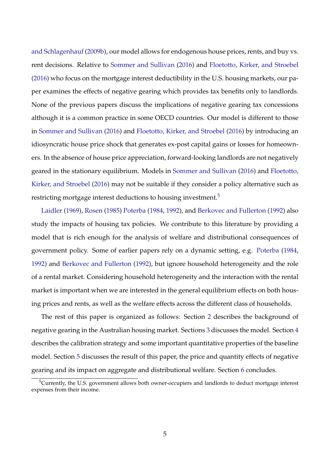[and Schlagenhauf](#page-36-3) [\(2009b\)](#page-36-3), our model allows for endogenous house prices, rents, and buy vs. rent decisions. Relative to [Sommer and Sullivan](#page-38-0) [\(2016\)](#page-38-0) and [Floetotto, Kirker, and Stroebel](#page-36-4) [\(2016\)](#page-36-4) who focus on the mortgage interest deductibility in the U.S. housing markets, our paper examines the effects of negative gearing which provides tax benefits only to landlords. None of the previous papers discuss the implications of negative gearing tax concessions although it is a common practice in some OECD countries. Our model is different to those in [Sommer and Sullivan](#page-38-0) [\(2016\)](#page-38-0) and [Floetotto, Kirker, and Stroebel](#page-36-4) [\(2016\)](#page-36-4) by introducing an idiosyncratic house price shock that generates ex-post capital gains or losses for homeowners. In the absence of house price appreciation, forward-looking landlords are not negatively geared in the stationary equilibrium. Models in [Sommer and Sullivan](#page-38-0) [\(2016\)](#page-38-0) and [Floetotto,](#page-36-4) [Kirker, and Stroebel](#page-36-4) [\(2016\)](#page-36-4) may not be suitable if they consider a policy alternative such as restricting mortgage interest deductions to housing investment.<sup>[5](#page-4-0)</sup>

[Laidler](#page-37-4) [\(1969\)](#page-37-4), [Rosen](#page-38-1) [\(1985\)](#page-38-1) [Poterba](#page-37-5) [\(1984,](#page-37-5) [1992\)](#page-38-2), and [Berkovec and Fullerton](#page-36-5) [\(1992\)](#page-36-5) also study the impacts of housing tax policies. We contribute to this literature by providing a model that is rich enough for the analysis of welfare and distributional consequences of government policy. Some of earlier papers rely on a dynamic setting, e.g. [Poterba](#page-37-5) [\(1984,](#page-37-5) [1992\)](#page-38-2) and [Berkovec and Fullerton](#page-36-5) [\(1992\)](#page-36-5), but ignore household heterogeneity and the role of a rental market. Considering household heterogeneity and the interaction with the rental market is important when we are interested in the general equilibrium effects on both housing prices and rents, as well as the welfare effects across the different class of households.

The rest of this paper is organized as follows: Section [2](#page-5-0) describes the background of negative gearing in the Australian housing market. Sections [3](#page-7-0) discusses the model. Section [4](#page-16-0) describes the calibration strategy and some important quantitative properties of the baseline model. Section [5](#page-23-0) discusses the result of this paper, the price and quantity effects of negative gearing and its impact on aggregate and distributional welfare. Section [6](#page-34-0) concludes.

<span id="page-4-0"></span> $5$ Currently, the U.S. government allows both owner-occupiers and landlords to deduct mortgage interest expenses from their income.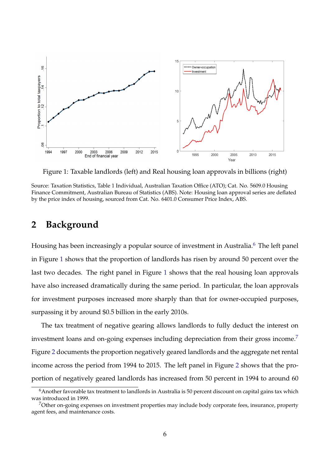<span id="page-5-2"></span>

Figure 1: Taxable landlords (left) and Real housing loan approvals in billions (right)

Source: Taxation Statistics, Table 1 Individual, Australian Taxation Office (ATO); Cat. No. 5609.0 Housing Finance Commitment, Australian Bureau of Statistics (ABS). Note: Housing loan approval series are deflated by the price index of housing, sourced from Cat. No. 6401.0 Consumer Price Index, ABS.

### <span id="page-5-0"></span>**2 Background**

Housing has been increasingly a popular source of investment in Australia.<sup>[6](#page-5-1)</sup> The left panel in Figure [1](#page-5-2) shows that the proportion of landlords has risen by around 50 percent over the last two decades. The right panel in Figure [1](#page-5-2) shows that the real housing loan approvals have also increased dramatically during the same period. In particular, the loan approvals for investment purposes increased more sharply than that for owner-occupied purposes, surpassing it by around \$0.5 billion in the early 2010s.

The tax treatment of negative gearing allows landlords to fully deduct the interest on investment loans and on-going expenses including depreciation from their gross income.<sup>[7](#page-5-3)</sup> Figure [2](#page-6-0) documents the proportion negatively geared landlords and the aggregate net rental income across the period from 1994 to 2015. The left panel in Figure [2](#page-6-0) shows that the proportion of negatively geared landlords has increased from 50 percent in 1994 to around 60

<span id="page-5-1"></span><sup>&</sup>lt;sup>6</sup>Another favorable tax treatment to landlords in Australia is 50 percent discount on capital gains tax which was introduced in 1999.

<span id="page-5-3"></span><sup>7</sup>Other on-going expenses on investment properties may include body corporate fees, insurance, property agent fees, and maintenance costs.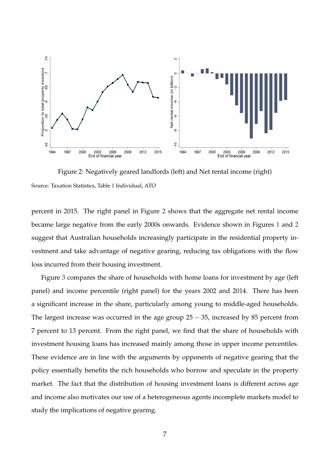<span id="page-6-0"></span>

Figure 2: Negatively geared landlords (left) and Net rental income (right) Source: Taxation Statistics, Table 1 Individual, ATO

percent in 2015. The right panel in Figure [2](#page-6-0) shows that the aggregate net rental income became large negative from the early 2000s onwards. Evidence shown in Figures [1](#page-5-2) and [2](#page-6-0) suggest that Australian households increasingly participate in the residential property investment and take advantage of negative gearing, reducing tax obligations with the flow loss incurred from their housing investment.

Figure [3](#page-7-1) compares the share of households with home loans for investment by age (left panel) and income percentile (right panel) for the years 2002 and 2014. There has been a significant increase in the share, particularly among young to middle-aged households. The largest increase was occurred in the age group  $25 - 35$ , increased by 85 percent from 7 percent to 13 percent. From the right panel, we find that the share of households with investment housing loans has increased mainly among those in upper income percentiles. These evidence are in line with the arguments by opponents of negative gearing that the policy essentially benefits the rich households who borrow and speculate in the property market. The fact that the distribution of housing investment loans is different across age and income also motivates our use of a heterogeneous agents incomplete markets model to study the implications of negative gearing.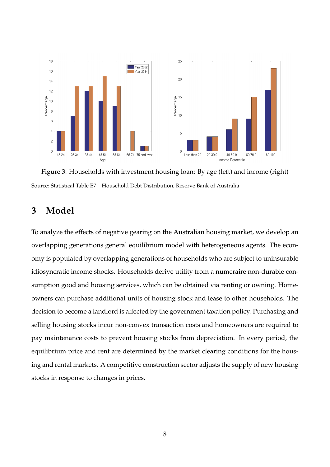<span id="page-7-1"></span>

Figure 3: Households with investment housing loan: By age (left) and income (right) Source: Statistical Table E7 – Household Debt Distribution, Reserve Bank of Australia

# <span id="page-7-0"></span>**3 Model**

To analyze the effects of negative gearing on the Australian housing market, we develop an overlapping generations general equilibrium model with heterogeneous agents. The economy is populated by overlapping generations of households who are subject to uninsurable idiosyncratic income shocks. Households derive utility from a numeraire non-durable consumption good and housing services, which can be obtained via renting or owning. Homeowners can purchase additional units of housing stock and lease to other households. The decision to become a landlord is affected by the government taxation policy. Purchasing and selling housing stocks incur non-convex transaction costs and homeowners are required to pay maintenance costs to prevent housing stocks from depreciation. In every period, the equilibrium price and rent are determined by the market clearing conditions for the housing and rental markets. A competitive construction sector adjusts the supply of new housing stocks in response to changes in prices.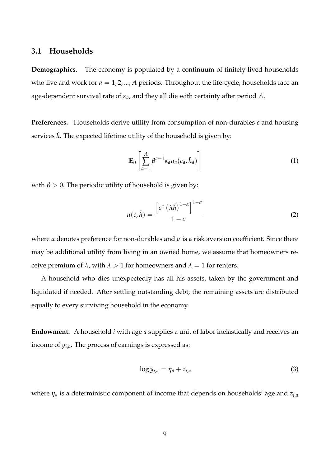### **3.1 Households**

**Demographics.** The economy is populated by a continuum of finitely-lived households who live and work for  $a = 1, 2, ..., A$  periods. Throughout the life-cycle, households face an age-dependent survival rate of *κa*, and they all die with certainty after period *A*.

**Preferences.** Households derive utility from consumption of non-durables *c* and housing services  $\tilde{h}$ . The expected lifetime utility of the household is given by:

$$
\mathbb{E}_0 \left[ \sum_{a=1}^A \beta^{a-1} \kappa_a u_a(c_a, \tilde{h}_a) \right]
$$
 (1)

with  $\beta > 0$ . The periodic utility of household is given by:

$$
u(c,\tilde{h}) = \frac{\left[c^{\alpha}(\lambda \tilde{h})^{1-\alpha}\right]^{1-\sigma}}{1-\sigma}
$$
 (2)

where  $\alpha$  denotes preference for non-durables and  $\sigma$  is a risk aversion coefficient. Since there may be additional utility from living in an owned home, we assume that homeowners receive premium of  $\lambda$ , with  $\lambda > 1$  for homeowners and  $\lambda = 1$  for renters.

A household who dies unexpectedly has all his assets, taken by the government and liquidated if needed. After settling outstanding debt, the remaining assets are distributed equally to every surviving household in the economy.

**Endowment.** A household *i* with age *a* supplies a unit of labor inelastically and receives an income of *yi*,*<sup>a</sup>* . The process of earnings is expressed as:

$$
\log y_{i,a} = \eta_a + z_{i,a} \tag{3}
$$

where *η<sup>a</sup>* is a deterministic component of income that depends on households' age and *zi*,*<sup>a</sup>*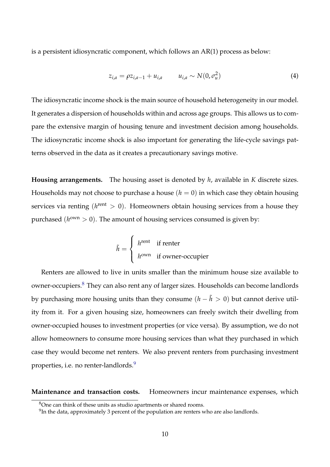is a persistent idiosyncratic component, which follows an AR(1) process as below:

$$
z_{i,a} = \rho z_{i,a-1} + u_{i,a} \qquad u_{i,a} \sim N(0, \sigma_u^2)
$$
 (4)

The idiosyncratic income shock is the main source of household heterogeneity in our model. It generates a dispersion of households within and across age groups. This allows us to compare the extensive margin of housing tenure and investment decision among households. The idiosyncratic income shock is also important for generating the life-cycle savings patterns observed in the data as it creates a precautionary savings motive.

**Housing arrangements.** The housing asset is denoted by *h*, available in *K* discrete sizes. Households may not choose to purchase a house  $(h = 0)$  in which case they obtain housing services via renting ( $h^{\text{rent}} > 0$ ). Homeowners obtain housing services from a house they purchased  $(h^{\text{own}} > 0)$ . The amount of housing services consumed is given by:

$$
\tilde{h} = \begin{cases}\nh^{\text{rent}} & \text{if enter} \\
h^{\text{own}} & \text{if owner-occupier}\n\end{cases}
$$

Renters are allowed to live in units smaller than the minimum house size available to owner-occupiers.<sup>[8](#page-9-0)</sup> They can also rent any of larger sizes. Households can become landlords by purchasing more housing units than they consume  $(h - \tilde{h} > 0)$  but cannot derive utility from it. For a given housing size, homeowners can freely switch their dwelling from owner-occupied houses to investment properties (or vice versa). By assumption, we do not allow homeowners to consume more housing services than what they purchased in which case they would become net renters. We also prevent renters from purchasing investment properties, i.e. no renter-landlords.<sup>[9](#page-9-1)</sup>

**Maintenance and transaction costs.** Homeowners incur maintenance expenses, which

<span id="page-9-0"></span><sup>8</sup>One can think of these units as studio apartments or shared rooms.

<span id="page-9-1"></span> $^{9}$ In the data, approximately 3 percent of the population are renters who are also landlords.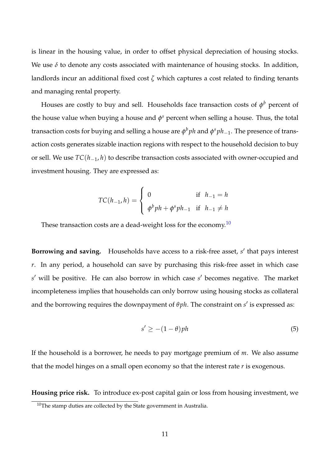is linear in the housing value, in order to offset physical depreciation of housing stocks. We use  $\delta$  to denote any costs associated with maintenance of housing stocks. In addition, landlords incur an additional fixed cost *ζ* which captures a cost related to finding tenants and managing rental property.

Houses are costly to buy and sell. Households face transaction costs of  $\phi^b$  percent of the house value when buying a house and  $\phi$ <sup>s</sup> percent when selling a house. Thus, the total transaction costs for buying and selling a house are *φ <sup>b</sup>ph* and *φ <sup>s</sup>ph*−1. The presence of transaction costs generates sizable inaction regions with respect to the household decision to buy or sell. We use *TC*(*h*−1, *h*) to describe transaction costs associated with owner-occupied and investment housing. They are expressed as:

$$
TC(h_{-1}, h) = \begin{cases} 0 & \text{if } h_{-1} = h \\ \phi^b p h + \phi^s p h_{-1} & \text{if } h_{-1} \neq h \end{cases}
$$

These transaction costs are a dead-weight loss for the economy.<sup>[10](#page-10-0)</sup>

**Borrowing and saving.** Households have access to a risk-free asset, s' that pays interest *r*. In any period, a household can save by purchasing this risk-free asset in which case *s* <sup>0</sup> will be positive. He can also borrow in which case *s* <sup>0</sup> becomes negative. The market incompleteness implies that households can only borrow using housing stocks as collateral and the borrowing requires the downpayment of  $\theta ph$ . The constraint on  $s'$  is expressed as:

$$
s' \ge -(1 - \theta)ph \tag{5}
$$

If the household is a borrower, he needs to pay mortgage premium of *m*. We also assume that the model hinges on a small open economy so that the interest rate *r* is exogenous.

**Housing price risk.** To introduce ex-post capital gain or loss from housing investment, we

<span id="page-10-0"></span> $10$ The stamp duties are collected by the State government in Australia.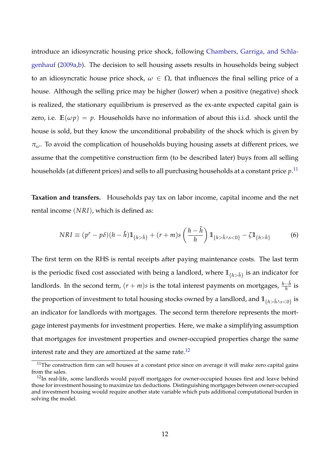introduce an idiosyncratic housing price shock, following [Chambers, Garriga, and Schla](#page-36-6)[genhauf](#page-36-6) [\(2009a,](#page-36-6)[b\)](#page-36-3). The decision to sell housing assets results in households being subject to an idiosyncratic house price shock,  $\omega \in \Omega$ , that influences the final selling price of a house. Although the selling price may be higher (lower) when a positive (negative) shock is realized, the stationary equilibrium is preserved as the ex-ante expected capital gain is zero, i.e.  $\mathbb{E}(\omega p) = p$ . Households have no information of about this i.i.d. shock until the house is sold, but they know the unconditional probability of the shock which is given by *πω*. To avoid the complication of households buying housing assets at different prices, we assume that the competitive construction firm (to be described later) buys from all selling households (at different prices) and sells to all purchasing households at a constant price *p*. [11](#page-11-0)

**Taxation and transfers.** Households pay tax on labor income, capital income and the net rental income (*NRI*), which is defined as:

<span id="page-11-2"></span>
$$
NRI \equiv (p^r - p\delta)(h - \tilde{h})\mathbb{1}_{\{h > \tilde{h}\}} + (r + m)s\left(\frac{h - \tilde{h}}{h}\right)\mathbb{1}_{\{h > \tilde{h} \wedge s < 0\}} - \zeta \mathbb{1}_{\{h > \tilde{h}\}}\tag{6}
$$

The first term on the RHS is rental receipts after paying maintenance costs. The last term is the periodic fixed cost associated with being a landlord, where  $1\!\!1_{\{h>\tilde h\}}$  is an indicator for landlords. In the second term,  $(r + m)s$  is the total interest payments on mortgages,  $\frac{h - \tilde{h}}{h}$  is the proportion of investment to total housing stocks owned by a landlord, and  $\mathbb{1}_{\{h>\tilde h\wedge s<0\}}$  is an indicator for landlords with mortgages. The second term therefore represents the mortgage interest payments for investment properties. Here, we make a simplifying assumption that mortgages for investment properties and owner-occupied properties charge the same interest rate and they are amortized at the same rate. $^{12}$  $^{12}$  $^{12}$ 

<span id="page-11-0"></span> $11$ The construction firm can sell houses at a constant price since on average it will make zero capital gains from the sales.

<span id="page-11-1"></span><sup>&</sup>lt;sup>12</sup>In real-life, some landlords would payoff mortgages for owner-occupied houses first and leave behind those for investment housing to maximize tax deductions. Distinguishing mortgages between owner-occupied and investment housing would require another state variable which puts additional computational burden in solving the model.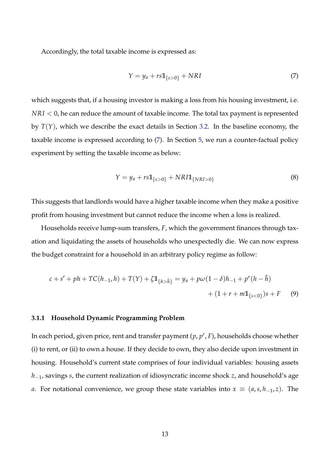Accordingly, the total taxable income is expressed as:

<span id="page-12-0"></span>
$$
Y = y_a + rs1\mathbb{1}_{\{s>0\}} + NRI
$$
\n<sup>(7)</sup>

which suggests that, if a housing investor is making a loss from his housing investment, i.e. *NRI* < 0, he can reduce the amount of taxable income. The total tax payment is represented by *T*(*Y*), which we describe the exact details in Section [3.2.](#page-14-0) In the baseline economy, the taxable income is expressed according to [\(7\)](#page-12-0). In Section [5,](#page-23-0) we run a counter-factual policy experiment by setting the taxable income as below:

<span id="page-12-1"></span>
$$
Y = y_a + r s \mathbb{1}_{\{s > 0\}} + N R I \mathbb{1}_{\{N R I > 0\}} \tag{8}
$$

This suggests that landlords would have a higher taxable income when they make a positive profit from housing investment but cannot reduce the income when a loss is realized.

Households receive lump-sum transfers, *F*, which the government finances through taxation and liquidating the assets of households who unexpectedly die. We can now express the budget constraint for a household in an arbitrary policy regime as follow:

$$
c + s' + ph + TC(h_{-1}, h) + T(Y) + \zeta \mathbb{1}_{\{h > \tilde{h}\}} = y_a + p\omega(1 - \delta)h_{-1} + p^r(h - \tilde{h})
$$
  
+ (1 + r + m\mathbb{1}\_{\{s < 0\}})s + F (9)

#### **3.1.1 Household Dynamic Programming Problem**

In each period, given price, rent and transfer payment (*p*, *p r* , *F*), households choose whether (i) to rent, or (ii) to own a house. If they decide to own, they also decide upon investment in housing. Household's current state comprises of four individual variables: housing assets *h*−1, savings *s*, the current realization of idiosyncratic income shock *z*, and household's age *a*. For notational convenience, we group these state variables into  $x ≡ (a, s, h<sub>−1</sub>, z)$ . The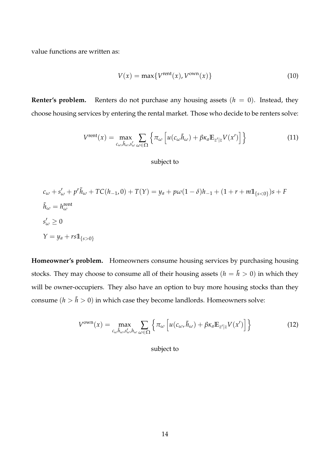value functions are written as:

<span id="page-13-0"></span>
$$
V(x) = \max\{V^{\text{rent}}(x), V^{\text{own}}(x)\}\tag{10}
$$

**Renter's problem.** Renters do not purchase any housing assets  $(h = 0)$ . Instead, they choose housing services by entering the rental market. Those who decide to be renters solve:

$$
V^{\text{rent}}(x) = \max_{c_{\omega}, \tilde{h}_{\omega}, s'_{\omega}} \sum_{\omega \in \Omega} \left\{ \pi_{\omega} \left[ u(c_{\omega}, \tilde{h}_{\omega}) + \beta \kappa_{a} \mathbb{E}_{z'|z} V(x') \right] \right\} \tag{11}
$$

subject to

$$
c_{\omega} + s'_{\omega} + p^r \tilde{h}_{\omega} + TC(h_{-1}, 0) + T(Y) = y_a + p\omega(1 - \delta)h_{-1} + (1 + r + m\mathbb{1}_{\{s < 0\}})s + F
$$
  
\n
$$
\tilde{h}_{\omega} = h_{\omega}^{\text{rent}}
$$
  
\n
$$
s'_{\omega} \ge 0
$$
  
\n
$$
Y = y_a + rs\mathbb{1}_{\{s > 0\}}
$$

**Homeowner's problem.** Homeowners consume housing services by purchasing housing stocks. They may choose to consume all of their housing assets ( $h = \tilde{h} > 0$ ) in which they will be owner-occupiers. They also have an option to buy more housing stocks than they consume  $(h > \tilde{h} > 0)$  in which case they become landlords. Homeowners solve:

<span id="page-13-1"></span>
$$
V^{\text{own}}(x) = \max_{c_{\omega}, \tilde{h}_{\omega}, s'_{\omega}, h_{\omega}} \sum_{\omega \in \Omega} \left\{ \pi_{\omega} \left[ u(c_{\omega}, \tilde{h}_{\omega}) + \beta \kappa_{a} \mathbb{E}_{z'|z} V(x') \right] \right\} \tag{12}
$$

subject to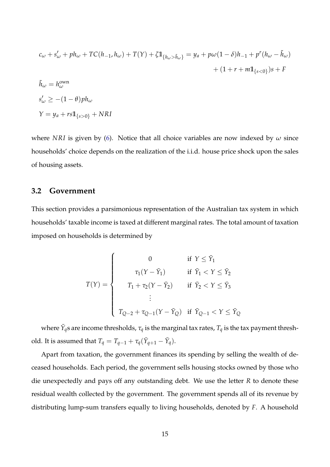$$
c_{\omega} + s'_{\omega} + ph_{\omega} + TC(h_{-1}, h_{\omega}) + T(Y) + \zeta \mathbb{1}_{\{h_{\omega} > \tilde{h}_{\omega}\}} = y_a + p\omega(1 - \delta)h_{-1} + p^r(h_{\omega} - \tilde{h}_{\omega}) + (1 + r + m\mathbb{1}_{\{s < 0\}})s + F \n\tilde{h}_{\omega} = h_{\omega}^{\text{own}
$$
\n
$$
s'_{\omega} \ge -(1 - \theta)ph_{\omega}
$$
\n
$$
Y = y_a + rs\mathbb{1}_{\{s > 0\}} + NRI
$$

where *NRI* is given by [\(6\)](#page-11-2). Notice that all choice variables are now indexed by *ω* since households' choice depends on the realization of the i.i.d. house price shock upon the sales of housing assets.

#### <span id="page-14-0"></span>**3.2 Government**

This section provides a parsimonious representation of the Australian tax system in which households' taxable income is taxed at different marginal rates. The total amount of taxation imposed on households is determined by

$$
T(Y) = \begin{cases} 0 & \text{if } Y \leq \bar{Y}_1 \\ \tau_1(Y - \bar{Y}_1) & \text{if } \bar{Y}_1 < Y \leq \bar{Y}_2 \\ T_1 + \tau_2(Y - \bar{Y}_2) & \text{if } \bar{Y}_2 < Y \leq \bar{Y}_3 \\ \vdots & \vdots \\ T_{Q-2} + \tau_{Q-1}(Y - \bar{Y}_Q) & \text{if } \bar{Y}_{Q-1} < Y \leq \bar{Y}_Q \end{cases}
$$

where  $\bar{Y}_q$ s are income thresholds,  $\tau_q$  is the marginal tax rates,  $T_q$  is the tax payment threshold. It is assumed that  $T_q = T_{q-1} + \tau_q(\bar{Y}_{q+1} - \bar{Y}_q)$ .

Apart from taxation, the government finances its spending by selling the wealth of deceased households. Each period, the government sells housing stocks owned by those who die unexpectedly and pays off any outstanding debt. We use the letter *R* to denote these residual wealth collected by the government. The government spends all of its revenue by distributing lump-sum transfers equally to living households, denoted by *F*. A household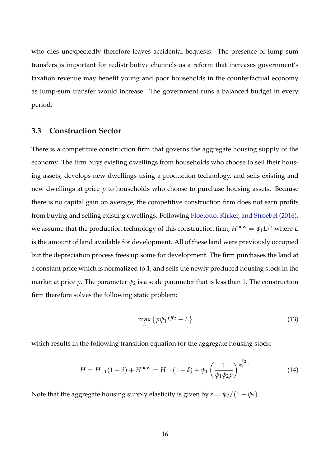who dies unexpectedly therefore leaves accidental bequests. The presence of lump-sum transfers is important for redistributive channels as a reform that increases government's taxation revenue may benefit young and poor households in the counterfactual economy as lump-sum transfer would increase. The government runs a balanced budget in every period.

### **3.3 Construction Sector**

There is a competitive construction firm that governs the aggregate housing supply of the economy. The firm buys existing dwellings from households who choose to sell their housing assets, develops new dwellings using a production technology, and sells existing and new dwellings at price *p* to households who choose to purchase housing assets. Because there is no capital gain on average, the competitive construction firm does not earn profits from buying and selling existing dwellings. Following [Floetotto, Kirker, and Stroebel](#page-36-4) [\(2016\)](#page-36-4), we assume that the production technology of this construction firm,  $H^{\text{new}} = \psi_1 L^{\psi_2}$  where  $L$ is the amount of land available for development. All of these land were previously occupied but the depreciation process frees up some for development. The firm purchases the land at a constant price which is normalized to 1, and sells the newly produced housing stock in the market at price *p*. The parameter  $\psi_2$  is a scale parameter that is less than 1. The construction firm therefore solves the following static problem:

$$
\max_{L} \left\{ p\psi_1 L^{\psi_2} - L \right\} \tag{13}
$$

which results in the following transition equation for the aggregate housing stock:

<span id="page-15-0"></span>
$$
H = H_{-1}(1 - \delta) + H^{\text{new}} = H_{-1}(1 - \delta) + \psi_1 \left(\frac{1}{\psi_1 \psi_2 p}\right)^{\frac{\psi_2}{\psi_2 - 1}} \tag{14}
$$

Note that the aggregate housing supply elasticity is given by  $\varepsilon = \psi_2/(1 - \psi_2)$ .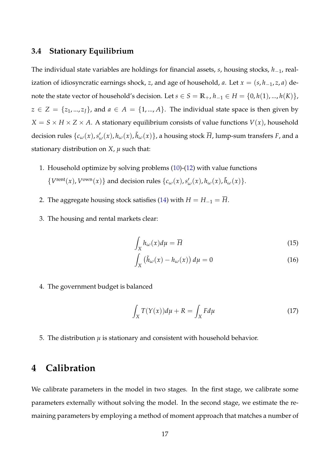### **3.4 Stationary Equilibrium**

The individual state variables are holdings for financial assets, *s*, housing stocks, *h*−1, realization of idiosyncratic earnings shock, *z*, and age of household, *a*. Let  $x = (s, h_{-1}, z, a)$  denote the state vector of household's decision. Let *s* ∈ *S* =  $\mathbb{R}_+$ , *h*<sub>−1</sub> ∈ *H* = {0, *h*(1), ..., *h*(*K*)},  $z \in Z = \{z_1, ..., z_J\}$ , and  $a \in A = \{1, ..., A\}$ . The individual state space is then given by  $X = S \times H \times Z \times A$ . A stationary equilibrium consists of value functions  $V(x)$ , household decision rules  $\{c_\omega(x),s'_\omega(x),h_\omega(x),\tilde{h}_\omega(x)\}$ , a housing stock  $\overline{H}$ , lump-sum transfers  $F$ , and a stationary distribution on *X*, *µ* such that:

- 1. Household optimize by solving problems [\(10\)](#page-13-0)-[\(12\)](#page-13-1) with value functions  $\{V^{\text{rent}}(x), V^{\text{own}}(x)\}$  and decision rules  $\{c_\omega(x), s'_\omega(x), h_\omega(x), \tilde{h}_\omega(x)\}.$
- 2. The aggregate housing stock satisfies [\(14\)](#page-15-0) with  $H = H_{-1} = \overline{H}$ .
- 3. The housing and rental markets clear:

$$
\int_{X} h_{\omega}(x) d\mu = \overline{H} \tag{15}
$$

$$
\int_{X} (\tilde{h}_{\omega}(x) - h_{\omega}(x)) d\mu = 0
$$
\n(16)

4. The government budget is balanced

$$
\int_{X} T(Y(x))d\mu + R = \int_{X} Fd\mu \tag{17}
$$

5. The distribution  $\mu$  is stationary and consistent with household behavior.

### <span id="page-16-0"></span>**4 Calibration**

We calibrate parameters in the model in two stages. In the first stage, we calibrate some parameters externally without solving the model. In the second stage, we estimate the remaining parameters by employing a method of moment approach that matches a number of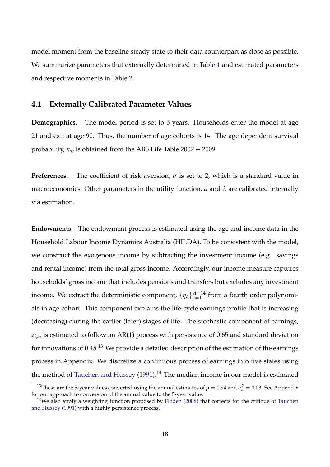model moment from the baseline steady state to their data counterpart as close as possible. We summarize parameters that externally determined in Table [1](#page-20-0) and estimated parameters and respective moments in Table [2.](#page-21-0)

#### **4.1 Externally Calibrated Parameter Values**

**Demographics.** The model period is set to 5 years. Households enter the model at age 21 and exit at age 90. Thus, the number of age cohorts is 14. The age dependent survival probability, *κa*, is obtained from the ABS Life Table 2007 − 2009.

**Preferences.** The coefficient of risk aversion,  $\sigma$  is set to 2, which is a standard value in macroeconomics. Other parameters in the utility function, *α* and *λ* are calibrated internally via estimation.

**Endowments.** The endowment process is estimated using the age and income data in the Household Labour Income Dynamics Australia (HILDA). To be consistent with the model, we construct the exogenous income by subtracting the investment income (e.g. savings and rental income) from the total gross income. Accordingly, our income measure captures households' gross income that includes pensions and transfers but excludes any investment income. We extract the deterministic component,  $\{\eta_a\}_{a=1}^{A=14}$  $_{a=1}^{A=14}$  from a fourth order polynomials in age cohort. This component explains the life-cycle earnings profile that is increasing (decreasing) during the earlier (later) stages of life. The stochastic component of earnings, *zi*,*<sup>a</sup>* , is estimated to follow an AR(1) process with persistence of 0.65 and standard deviation for innovations of  $0.45^{13}$  $0.45^{13}$  $0.45^{13}$  We provide a detailed description of the estimation of the earnings process in Appendix. We discretize a continuous process of earnings into five states using the method of [Tauchen and Hussey](#page-38-3)  $(1991).<sup>14</sup>$  $(1991).<sup>14</sup>$  $(1991).<sup>14</sup>$  $(1991).<sup>14</sup>$  The median income in our model is estimated

<span id="page-17-0"></span><sup>&</sup>lt;sup>13</sup>These are the 5-year values converted using the annual estimates of  $\rho = 0.94$  and  $\sigma_u^2 = 0.03$ . See Appendix for our approach to conversion of the annual value to the 5-year value.

<span id="page-17-1"></span><sup>&</sup>lt;sup>14</sup>We also apply a weighting function proposed by [Floden](#page-36-7) [\(2008\)](#page-36-7) that corrects for the critique of [Tauchen](#page-38-3) [and Hussey](#page-38-3) [\(1991\)](#page-38-3) with a highly persistence process.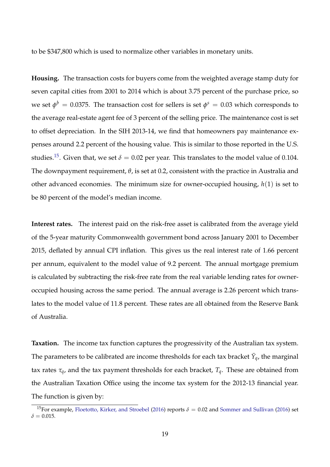to be \$347,800 which is used to normalize other variables in monetary units.

**Housing.** The transaction costs for buyers come from the weighted average stamp duty for seven capital cities from 2001 to 2014 which is about 3.75 percent of the purchase price, so we set  $\phi^b =$  0.0375. The transaction cost for sellers is set  $\phi^s =$  0.03 which corresponds to the average real-estate agent fee of 3 percent of the selling price. The maintenance cost is set to offset depreciation. In the SIH 2013-14, we find that homeowners pay maintenance expenses around 2.2 percent of the housing value. This is similar to those reported in the U.S. studies.<sup>[15](#page-18-0)</sup>. Given that, we set  $\delta = 0.02$  per year. This translates to the model value of 0.104. The downpayment requirement, *θ*, is set at 0.2, consistent with the practice in Australia and other advanced economies. The minimum size for owner-occupied housing, *h*(1) is set to be 80 percent of the model's median income.

**Interest rates.** The interest paid on the risk-free asset is calibrated from the average yield of the 5-year maturity Commonwealth government bond across January 2001 to December 2015, deflated by annual CPI inflation. This gives us the real interest rate of 1.66 percent per annum, equivalent to the model value of 9.2 percent. The annual mortgage premium is calculated by subtracting the risk-free rate from the real variable lending rates for owneroccupied housing across the same period. The annual average is 2.26 percent which translates to the model value of 11.8 percent. These rates are all obtained from the Reserve Bank of Australia.

**Taxation.** The income tax function captures the progressivity of the Australian tax system. The parameters to be calibrated are income thresholds for each tax bracket  $\bar{Y}_q$ , the marginal tax rates *τq*, and the tax payment thresholds for each bracket, *Tq*. These are obtained from the Australian Taxation Office using the income tax system for the 2012-13 financial year. The function is given by:

<span id="page-18-0"></span><sup>&</sup>lt;sup>15</sup>For example, [Floetotto, Kirker, and Stroebel](#page-36-4) [\(2016\)](#page-38-0) reports  $\delta = 0.02$  and [Sommer and Sullivan](#page-38-0) (2016) set  $\delta = 0.015$ .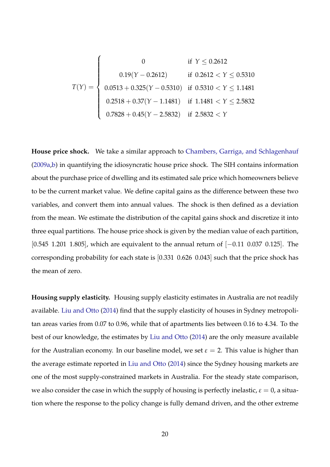$T(Y) =$  $\sqrt{ }$  $\begin{array}{c} \hline \end{array}$  $\begin{array}{c} \hline \end{array}$ 0 if  $Y \le 0.2612$  $0.19(Y - 0.2612)$  if  $0.2612 < Y \le 0.5310$ 0.0513 + 0.325(*Y* − 0.5310) if 0.5310 < *Y* ≤ 1.1481  $0.2518 + 0.37(Y - 1.1481)$  if  $1.1481 < Y \le 2.5832$ 0.7828 + 0.45(*Y* − 2.5832) if 2.5832 < *Y*

**House price shock.** We take a similar approach to [Chambers, Garriga, and Schlagenhauf](#page-36-6) [\(2009a,](#page-36-6)[b\)](#page-36-3) in quantifying the idiosyncratic house price shock. The SIH contains information about the purchase price of dwelling and its estimated sale price which homeowners believe to be the current market value. We define capital gains as the difference between these two variables, and convert them into annual values. The shock is then defined as a deviation from the mean. We estimate the distribution of the capital gains shock and discretize it into three equal partitions. The house price shock is given by the median value of each partition, [0.545 1.201 1.805], which are equivalent to the annual return of [−0.11 0.037 0.125]. The corresponding probability for each state is [0.331 0.626 0.043] such that the price shock has the mean of zero.

**Housing supply elasticity.** Housing supply elasticity estimates in Australia are not readily available. [Liu and Otto](#page-37-6) [\(2014\)](#page-37-6) find that the supply elasticity of houses in Sydney metropolitan areas varies from 0.07 to 0.96, while that of apartments lies between 0.16 to 4.34. To the best of our knowledge, the estimates by [Liu and Otto](#page-37-6) [\(2014\)](#page-37-6) are the only measure available for the Australian economy. In our baseline model, we set  $\varepsilon = 2$ . This value is higher than the average estimate reported in [Liu and Otto](#page-37-6) [\(2014\)](#page-37-6) since the Sydney housing markets are one of the most supply-constrained markets in Australia. For the steady state comparison, we also consider the case in which the supply of housing is perfectly inelastic,  $\varepsilon = 0$ , a situation where the response to the policy change is fully demand driven, and the other extreme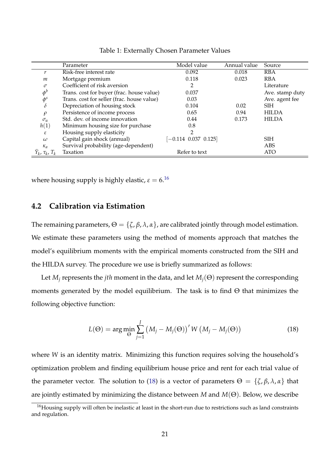<span id="page-20-0"></span>

|                                | Parameter                                  | Model value          | Annual value | Source          |
|--------------------------------|--------------------------------------------|----------------------|--------------|-----------------|
|                                | Risk-free interest rate                    | 0.092                | 0.018        | <b>RBA</b>      |
| m                              | Mortgage premium                           | 0.118                | 0.023        | <b>RBA</b>      |
| $\sigma$                       | Coefficient of risk aversion               | 2                    |              | Literature      |
| $\phi^b$                       | Trans. cost for buyer (frac. house value)  | 0.037                |              | Ave. stamp duty |
| $\phi^s$                       | Trans. cost for seller (frac. house value) | 0.03                 |              | Ave. agent fee  |
| $\delta$                       | Depreciation of housing stock              | 0.104                | 0.02         | <b>SIH</b>      |
| $\rho$                         | Persistence of income process              | 0.65                 | 0.94         | <b>HILDA</b>    |
| $\sigma_u$                     | Std. dev. of income innovation             | 0.44                 | 0.173        | <b>HILDA</b>    |
| h(1)                           | Minimum housing size for purchase          | 0.8                  |              |                 |
| ε                              | Housing supply elasticity                  |                      |              |                 |
| $\omega$                       | Capital gain shock (annual)                | $-0.114$ 0.037 0.125 |              | <b>SIH</b>      |
| $\kappa_a$                     | Survival probability (age-dependent)       |                      |              | ABS             |
| $\bar{Y}_k$ , $\tau_k$ , $T_k$ | Taxation                                   | Refer to text        |              | <b>ATO</b>      |

Table 1: Externally Chosen Parameter Values

where housing supply is highly elastic,  $\varepsilon = 6$ .<sup>[16](#page-20-1)</sup>

### **4.2 Calibration via Estimation**

The remaining parameters,  $\Theta = {\{\zeta, \beta, \lambda, \alpha\}}$ , are calibrated jointly through model estimation. We estimate these parameters using the method of moments approach that matches the model's equilibrium moments with the empirical moments constructed from the SIH and the HILDA survey. The procedure we use is briefly summarized as follows:

Let  $M_i$  represents the *jth* moment in the data, and let  $M_i(\Theta)$  represent the corresponding moments generated by the model equilibrium. The task is to find  $\Theta$  that minimizes the following objective function:

<span id="page-20-2"></span>
$$
L(\Theta) = \arg\min_{\Theta} \sum_{j=1}^{J} (M_j - M_j(\Theta))^{\prime} W (M_j - M_j(\Theta))
$$
\n(18)

where *W* is an identity matrix. Minimizing this function requires solving the household's optimization problem and finding equilibrium house price and rent for each trial value of the parameter vector. The solution to [\(18\)](#page-20-2) is a vector of parameters  $\Theta = \{\zeta, \beta, \lambda, \alpha\}$  that are jointly estimated by minimizing the distance between *M* and *M*(Θ). Below, we describe

<span id="page-20-1"></span><sup>&</sup>lt;sup>16</sup>Housing supply will often be inelastic at least in the short-run due to restrictions such as land constraints and regulation.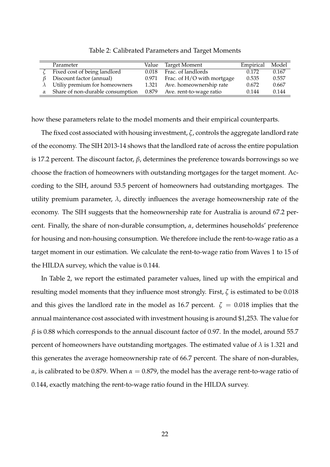<span id="page-21-0"></span>

|          | Parameter                               |       | Value Target Moment           | Empirical | Model |
|----------|-----------------------------------------|-------|-------------------------------|-----------|-------|
|          | Fixed cost of being landlord            | 0.018 | Frac. of landlords            | 0.172     | 0.167 |
|          | Discount factor (annual)                | 0.971 | Frac. of H/O with mortgage    | 0.535     | 0.557 |
|          | $\lambda$ Utiliy premium for homeowners | 1.321 | Ave. homeownership rate       | 0.672     | 0.667 |
| $\alpha$ | Share of non-durable consumption        |       | 0.879 Ave. rent-to-wage ratio | 0.144     | 0.144 |

Table 2: Calibrated Parameters and Target Moments

how these parameters relate to the model moments and their empirical counterparts.

The fixed cost associated with housing investment, *ζ*, controls the aggregate landlord rate of the economy. The SIH 2013-14 shows that the landlord rate of across the entire population is 17.2 percent. The discount factor, *β*, determines the preference towards borrowings so we choose the fraction of homeowners with outstanding mortgages for the target moment. According to the SIH, around 53.5 percent of homeowners had outstanding mortgages. The utility premium parameter,  $\lambda$ , directly influences the average homeownership rate of the economy. The SIH suggests that the homeownership rate for Australia is around 67.2 percent. Finally, the share of non-durable consumption, *α*, determines households' preference for housing and non-housing consumption. We therefore include the rent-to-wage ratio as a target moment in our estimation. We calculate the rent-to-wage ratio from Waves 1 to 15 of the HILDA survey, which the value is 0.144.

In Table 2, we report the estimated parameter values, lined up with the empirical and resulting model moments that they influence most strongly. First, *ζ* is estimated to be 0.018 and this gives the landlord rate in the model as 16.7 percent.  $\zeta = 0.018$  implies that the annual maintenance cost associated with investment housing is around \$1,253. The value for *β* is 0.88 which corresponds to the annual discount factor of 0.97. In the model, around 55.7 percent of homeowners have outstanding mortgages. The estimated value of  $\lambda$  is 1.321 and this generates the average homeownership rate of 66.7 percent. The share of non-durables, *α*, is calibrated to be 0.879. When  $α = 0.879$ , the model has the average rent-to-wage ratio of 0.144, exactly matching the rent-to-wage ratio found in the HILDA survey.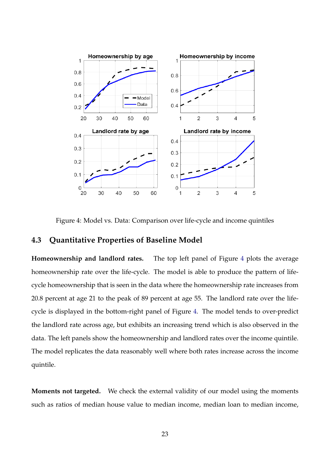<span id="page-22-0"></span>

Figure 4: Model vs. Data: Comparison over life-cycle and income quintiles

### **4.3 Quantitative Properties of Baseline Model**

**Homeownership and landlord rates.** The top left panel of Figure [4](#page-22-0) plots the average homeownership rate over the life-cycle. The model is able to produce the pattern of lifecycle homeownership that is seen in the data where the homeownership rate increases from 20.8 percent at age 21 to the peak of 89 percent at age 55. The landlord rate over the lifecycle is displayed in the bottom-right panel of Figure [4.](#page-22-0) The model tends to over-predict the landlord rate across age, but exhibits an increasing trend which is also observed in the data. The left panels show the homeownership and landlord rates over the income quintile. The model replicates the data reasonably well where both rates increase across the income quintile.

**Moments not targeted.** We check the external validity of our model using the moments such as ratios of median house value to median income, median loan to median income,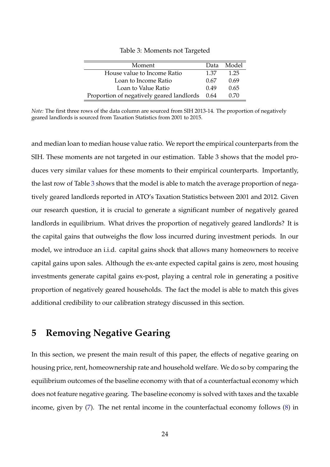<span id="page-23-1"></span>

| Moment                                         | Data | - Model |
|------------------------------------------------|------|---------|
| House value to Income Ratio                    | 1.37 | 1.25    |
| Loan to Income Ratio                           | 0.67 | 0.69    |
| Loan to Value Ratio                            | 0.49 | 0.65    |
| Proportion of negatively geared landlords 0.64 |      | 0.70    |

Table 3: Moments not Targeted

*Note:* The first three rows of the data column are sourced from SIH 2013-14. The proportion of negatively geared landlords is sourced from Taxation Statistics from 2001 to 2015.

and median loan to median house value ratio. We report the empirical counterparts from the SIH. These moments are not targeted in our estimation. Table 3 shows that the model produces very similar values for these moments to their empirical counterparts. Importantly, the last row of Table [3](#page-23-1) shows that the model is able to match the average proportion of negatively geared landlords reported in ATO's Taxation Statistics between 2001 and 2012. Given our research question, it is crucial to generate a significant number of negatively geared landlords in equilibrium. What drives the proportion of negatively geared landlords? It is the capital gains that outweighs the flow loss incurred during investment periods. In our model, we introduce an i.i.d. capital gains shock that allows many homeowners to receive capital gains upon sales. Although the ex-ante expected capital gains is zero, most housing investments generate capital gains ex-post, playing a central role in generating a positive proportion of negatively geared households. The fact the model is able to match this gives additional credibility to our calibration strategy discussed in this section.

### <span id="page-23-0"></span>**5 Removing Negative Gearing**

In this section, we present the main result of this paper, the effects of negative gearing on housing price, rent, homeownership rate and household welfare. We do so by comparing the equilibrium outcomes of the baseline economy with that of a counterfactual economy which does not feature negative gearing. The baseline economy is solved with taxes and the taxable income, given by [\(7\)](#page-12-0). The net rental income in the counterfactual economy follows [\(8\)](#page-12-1) in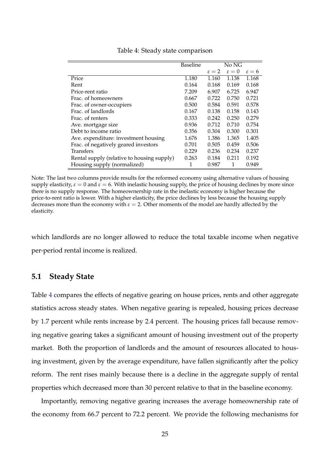<span id="page-24-0"></span>

|                                            | <b>Baseline</b> |                   | No NG             |                |
|--------------------------------------------|-----------------|-------------------|-------------------|----------------|
|                                            |                 | $\varepsilon = 2$ | $\varepsilon = 0$ | $\epsilon = 6$ |
| Price                                      | 1.180           | 1.160             | 1.138             | 1.168          |
| Rent                                       | 0.164           | 0.168             | 0.169             | 0.168          |
| Price-rent ratio                           | 7.209           | 6.907             | 6.725             | 6.947          |
| Frac. of homeowners                        | 0.667           | 0.722             | 0.750             | 0.721          |
| Frac. of owner-occupiers                   | 0.500           | 0.584             | 0.591             | 0.578          |
| Frac. of landlords                         | 0.167           | 0.138             | 0.158             | 0.143          |
| Frac. of renters                           | 0.333           | 0.242             | 0.250             | 0.279          |
| Ave. mortgage size                         | 0.936           | 0.712             | 0.710             | 0.754          |
| Debt to income ratio                       | 0.356           | 0.304             | 0.300             | 0.301          |
| Ave. expenditure: investment housing       | 1.676           | 1.386             | 1.365             | 1.405          |
| Frac. of negatively geared investors       | 0.701           | 0.505             | 0.459             | 0.506          |
| <b>Transfers</b>                           | 0.229           | 0.236             | 0.234             | 0.237          |
| Rental supply (relative to housing supply) | 0.263           | 0.184             | 0.211             | 0.192          |
| Housing supply (normalized)                | 1               | 0.987             | 1                 | 0.949          |

Table 4: Steady state comparison

Note: The last two columns provide results for the reformed economy using alternative values of housing supply elasticity,  $\varepsilon = 0$  and  $\varepsilon = 6$ . With inelastic housing supply, the price of housing declines by more since there is no supply response. The homeownership rate in the inelastic economy is higher because the price-to-rent ratio is lower. With a higher elasticity, the price declines by less because the housing supply decreases more than the economy with  $\varepsilon = 2$ . Other moments of the model are hardly affected by the elasticity.

which landlords are no longer allowed to reduce the total taxable income when negative per-period rental income is realized.

### **5.1 Steady State**

Table [4](#page-24-0) compares the effects of negative gearing on house prices, rents and other aggregate statistics across steady states. When negative gearing is repealed, housing prices decrease by 1.7 percent while rents increase by 2.4 percent. The housing prices fall because removing negative gearing takes a significant amount of housing investment out of the property market. Both the proportion of landlords and the amount of resources allocated to housing investment, given by the average expenditure, have fallen significantly after the policy reform. The rent rises mainly because there is a decline in the aggregate supply of rental properties which decreased more than 30 percent relative to that in the baseline economy.

Importantly, removing negative gearing increases the average homeownership rate of the economy from 66.7 percent to 72.2 percent. We provide the following mechanisms for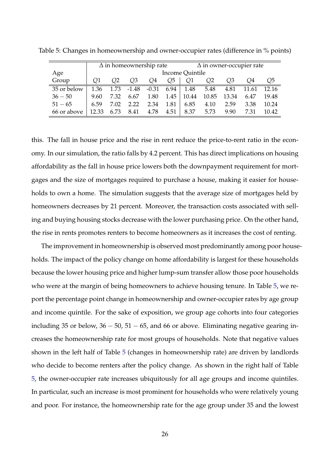|             |       | $\Delta$ in homeownership rate |         |         |      | $\Delta$ in owner-occupier rate |                |       |       |       |
|-------------|-------|--------------------------------|---------|---------|------|---------------------------------|----------------|-------|-------|-------|
| Age         |       |                                |         |         |      | Income Quintile                 |                |       |       |       |
| Group       | Q1    | O2                             | O3      | Q4      | Q5   | Q1                              | Q <sub>2</sub> | O3    | O4    | Q5    |
| 35 or below | 1.36  | 1.73                           | $-1.48$ | $-0.31$ | 6.94 | 1.48                            | 5.48           | 4.81  | 11.61 | 12.16 |
| $36 - 50$   | 9.60  | 7.32                           | 6.67    | 1.80    | 1.45 | 10.44                           | 10.85          | 13.34 | 6.47  | 19.48 |
| $51 - 65$   | 6.59  | 7.02                           | 2.22    | 2.34    | 1.81 | 6.85                            | 4.10           | 2.59  | 3.38  | 10.24 |
| 66 or above | 12.33 | 6.73                           | 8.41    | 4.78    | 4.51 | 8.37                            | 5.73           | 9.90  | 7.31  | 10.42 |

<span id="page-25-0"></span>Table 5: Changes in homeownership and owner-occupier rates (difference in % points)

this. The fall in house price and the rise in rent reduce the price-to-rent ratio in the economy. In our simulation, the ratio falls by 4.2 percent. This has direct implications on housing affordability as the fall in house price lowers both the downpayment requirement for mortgages and the size of mortgages required to purchase a house, making it easier for households to own a home. The simulation suggests that the average size of mortgages held by homeowners decreases by 21 percent. Moreover, the transaction costs associated with selling and buying housing stocks decrease with the lower purchasing price. On the other hand, the rise in rents promotes renters to become homeowners as it increases the cost of renting.

The improvement in homeownership is observed most predominantly among poor households. The impact of the policy change on home affordability is largest for these households because the lower housing price and higher lump-sum transfer allow those poor households who were at the margin of being homeowners to achieve housing tenure. In Table [5,](#page-25-0) we report the percentage point change in homeownership and owner-occupier rates by age group and income quintile. For the sake of exposition, we group age cohorts into four categories including 35 or below,  $36 - 50$ ,  $51 - 65$ , and 66 or above. Eliminating negative gearing increases the homeownership rate for most groups of households. Note that negative values shown in the left half of Table [5](#page-25-0) (changes in homeownership rate) are driven by landlords who decide to become renters after the policy change. As shown in the right half of Table [5,](#page-25-0) the owner-occupier rate increases ubiquitously for all age groups and income quintiles. In particular, such an increase is most prominent for households who were relatively young and poor. For instance, the homeownership rate for the age group under 35 and the lowest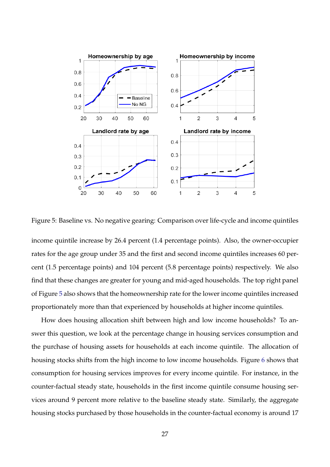<span id="page-26-0"></span>

Figure 5: Baseline vs. No negative gearing: Comparison over life-cycle and income quintiles

income quintile increase by 26.4 percent (1.4 percentage points). Also, the owner-occupier rates for the age group under 35 and the first and second income quintiles increases 60 percent (1.5 percentage points) and 104 percent (5.8 percentage points) respectively. We also find that these changes are greater for young and mid-aged households. The top right panel of Figure [5](#page-26-0) also shows that the homeownership rate for the lower income quintiles increased proportionately more than that experienced by households at higher income quintiles.

How does housing allocation shift between high and low income households? To answer this question, we look at the percentage change in housing services consumption and the purchase of housing assets for households at each income quintile. The allocation of housing stocks shifts from the high income to low income households. Figure [6](#page-27-0) shows that consumption for housing services improves for every income quintile. For instance, in the counter-factual steady state, households in the first income quintile consume housing services around 9 percent more relative to the baseline steady state. Similarly, the aggregate housing stocks purchased by those households in the counter-factual economy is around 17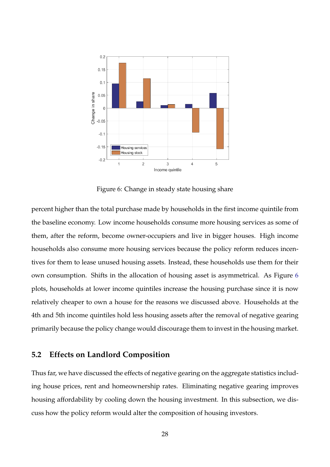<span id="page-27-0"></span>

Figure 6: Change in steady state housing share

percent higher than the total purchase made by households in the first income quintile from the baseline economy. Low income households consume more housing services as some of them, after the reform, become owner-occupiers and live in bigger houses. High income households also consume more housing services because the policy reform reduces incentives for them to lease unused housing assets. Instead, these households use them for their own consumption. Shifts in the allocation of housing asset is asymmetrical. As Figure [6](#page-27-0) plots, households at lower income quintiles increase the housing purchase since it is now relatively cheaper to own a house for the reasons we discussed above. Households at the 4th and 5th income quintiles hold less housing assets after the removal of negative gearing primarily because the policy change would discourage them to invest in the housing market.

### **5.2 Effects on Landlord Composition**

Thus far, we have discussed the effects of negative gearing on the aggregate statistics including house prices, rent and homeownership rates. Eliminating negative gearing improves housing affordability by cooling down the housing investment. In this subsection, we discuss how the policy reform would alter the composition of housing investors.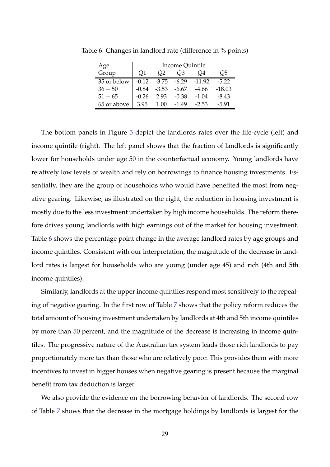| Age         | Income Quintile |                |                |                          |          |  |  |
|-------------|-----------------|----------------|----------------|--------------------------|----------|--|--|
| Group       | O1              | O <sub>2</sub> | Q <sub>3</sub> | O4                       | O5       |  |  |
| 35 or below | $-0.12$         |                |                | $-3.75$ $-6.29$ $-11.92$ | $-5.22$  |  |  |
| $36 - 50$   | $-0.84$         | -3.53          | -6.67          | -4.66                    | $-18.03$ |  |  |
| $51 - 65$   | $-0.26$         | 2.93           | $-0.38$        | $-1.04$                  | $-8.43$  |  |  |
| 65 or above | 3.95            | 1.00           | $-1.49$        | $-2.53$                  | $-5.91$  |  |  |

<span id="page-28-0"></span>Table 6: Changes in landlord rate (difference in % points)

The bottom panels in Figure [5](#page-26-0) depict the landlords rates over the life-cycle (left) and income quintile (right). The left panel shows that the fraction of landlords is significantly lower for households under age 50 in the counterfactual economy. Young landlords have relatively low levels of wealth and rely on borrowings to finance housing investments. Essentially, they are the group of households who would have benefited the most from negative gearing. Likewise, as illustrated on the right, the reduction in housing investment is mostly due to the less investment undertaken by high income households. The reform therefore drives young landlords with high earnings out of the market for housing investment. Table [6](#page-28-0) shows the percentage point change in the average landlord rates by age groups and income quintiles. Consistent with our interpretation, the magnitude of the decrease in landlord rates is largest for households who are young (under age 45) and rich (4th and 5th income quintiles).

Similarly, landlords at the upper income quintiles respond most sensitively to the repealing of negative gearing. In the first row of Table [7](#page-29-0) shows that the policy reform reduces the total amount of housing investment undertaken by landlords at 4th and 5th income quintiles by more than 50 percent, and the magnitude of the decrease is increasing in income quintiles. The progressive nature of the Australian tax system leads those rich landlords to pay proportionately more tax than those who are relatively poor. This provides them with more incentives to invest in bigger houses when negative gearing is present because the marginal benefit from tax deduction is larger.

We also provide the evidence on the borrowing behavior of landlords. The second row of Table [7](#page-29-0) shows that the decrease in the mortgage holdings by landlords is largest for the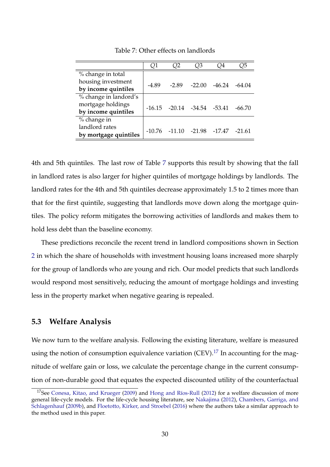<span id="page-29-0"></span>

|                       | Q1    | ')2               | 23                                  | Q4       | 25       |
|-----------------------|-------|-------------------|-------------------------------------|----------|----------|
| % change in total     |       |                   |                                     |          |          |
| housing investment    | -4.89 | $-2.89$           | $-22.00$                            | $-46.24$ | -64.04   |
| by income quintiles   |       |                   |                                     |          |          |
| % change in landord's |       |                   |                                     |          |          |
| mortgage holdings     |       |                   | $-16.15$ $-20.14$ $-34.54$ $-53.41$ |          | $-66.70$ |
| by income quintiles   |       |                   |                                     |          |          |
| % change in           |       |                   |                                     |          |          |
| landlord rates        |       | $-10.76$ $-11.10$ | -21.98 -17.47                       |          | $-21.61$ |
| by mortgage quintiles |       |                   |                                     |          |          |

Table 7: Other effects on landlords

4th and 5th quintiles. The last row of Table [7](#page-29-0) supports this result by showing that the fall in landlord rates is also larger for higher quintiles of mortgage holdings by landlords. The landlord rates for the 4th and 5th quintiles decrease approximately 1.5 to 2 times more than that for the first quintile, suggesting that landlords move down along the mortgage quintiles. The policy reform mitigates the borrowing activities of landlords and makes them to hold less debt than the baseline economy.

These predictions reconcile the recent trend in landlord compositions shown in Section [2](#page-5-0) in which the share of households with investment housing loans increased more sharply for the group of landlords who are young and rich. Our model predicts that such landlords would respond most sensitively, reducing the amount of mortgage holdings and investing less in the property market when negative gearing is repealed.

### **5.3 Welfare Analysis**

We now turn to the welfare analysis. Following the existing literature, welfare is measured using the notion of consumption equivalence variation (CEV).<sup>[17](#page-29-1)</sup> In accounting for the magnitude of welfare gain or loss, we calculate the percentage change in the current consumption of non-durable good that equates the expected discounted utility of the counterfactual

<span id="page-29-1"></span><sup>&</sup>lt;sup>17</sup>See [Conesa, Kitao, and Krueger](#page-36-8) [\(2009\)](#page-36-8) and [Hong and Ríos-Rull](#page-37-7) [\(2012\)](#page-37-7) for a welfare discussion of more general life-cycle models. For the life-cycle housing literature, see [Nakajima](#page-37-8) [\(2012\)](#page-37-8), [Chambers, Garriga, and](#page-36-3) [Schlagenhauf](#page-36-3) [\(2009b\)](#page-36-3), and [Floetotto, Kirker, and Stroebel](#page-36-4) [\(2016\)](#page-36-4) where the authors take a similar approach to the method used in this paper.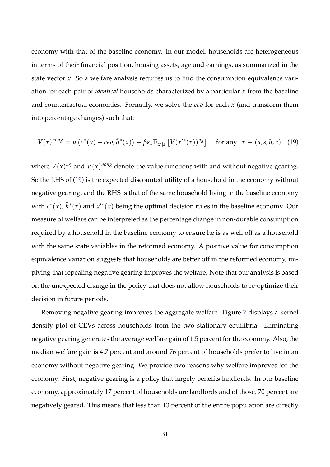economy with that of the baseline economy. In our model, households are heterogeneous in terms of their financial position, housing assets, age and earnings, as summarized in the state vector *x*. So a welfare analysis requires us to find the consumption equivalence variation for each pair of *identical* households characterized by a particular *x* from the baseline and counterfactual economies. Formally, we solve the *cev* for each *x* (and transform them into percentage changes) such that:

<span id="page-30-0"></span>
$$
V(x)^{nons} = u\left(c^*(x) + cev, \tilde{h}^*(x)\right) + \beta \kappa_a \mathbb{E}_{z'|z} \left[V(x'^*(x))^{n_g}\right] \quad \text{for any } x \equiv (a, s, h, z) \tag{19}
$$

where  $V(x)^{ng}$  and  $V(x)^{nong}$  denote the value functions with and without negative gearing. So the LHS of [\(19\)](#page-30-0) is the expected discounted utility of a household in the economy without negative gearing, and the RHS is that of the same household living in the baseline economy with  $c^*(x)$ ,  $\tilde{h}^*(x)$  and  $x'^*(x)$  being the optimal decision rules in the baseline economy. Our measure of welfare can be interpreted as the percentage change in non-durable consumption required by a household in the baseline economy to ensure he is as well off as a household with the same state variables in the reformed economy. A positive value for consumption equivalence variation suggests that households are better off in the reformed economy, implying that repealing negative gearing improves the welfare. Note that our analysis is based on the unexpected change in the policy that does not allow households to re-optimize their decision in future periods.

Removing negative gearing improves the aggregate welfare. Figure [7](#page-31-0) displays a kernel density plot of CEVs across households from the two stationary equilibria. Eliminating negative gearing generates the average welfare gain of 1.5 percent for the economy. Also, the median welfare gain is 4.7 percent and around 76 percent of households prefer to live in an economy without negative gearing. We provide two reasons why welfare improves for the economy. First, negative gearing is a policy that largely benefits landlords. In our baseline economy, approximately 17 percent of households are landlords and of those, 70 percent are negatively geared. This means that less than 13 percent of the entire population are directly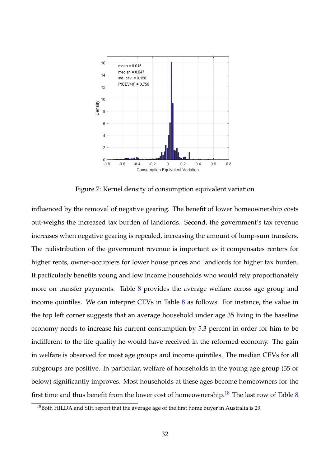<span id="page-31-0"></span>

Figure 7: Kernel density of consumption equivalent variation

influenced by the removal of negative gearing. The benefit of lower homeownership costs out-weighs the increased tax burden of landlords. Second, the government's tax revenue increases when negative gearing is repealed, increasing the amount of lump-sum transfers. The redistribution of the government revenue is important as it compensates renters for higher rents, owner-occupiers for lower house prices and landlords for higher tax burden. It particularly benefits young and low income households who would rely proportionately more on transfer payments. Table [8](#page-32-0) provides the average welfare across age group and income quintiles. We can interpret CEVs in Table [8](#page-32-0) as follows. For instance, the value in the top left corner suggests that an average household under age 35 living in the baseline economy needs to increase his current consumption by 5.3 percent in order for him to be indifferent to the life quality he would have received in the reformed economy. The gain in welfare is observed for most age groups and income quintiles. The median CEVs for all subgroups are positive. In particular, welfare of households in the young age group (35 or below) significantly improves. Most households at these ages become homeowners for the first time and thus benefit from the lower cost of homeownership.<sup>[18](#page-31-1)</sup> The last row of Table [8](#page-32-0)

<span id="page-31-1"></span><sup>&</sup>lt;sup>18</sup>Both HILDA and SIH report that the average age of the first home buyer in Australia is 29.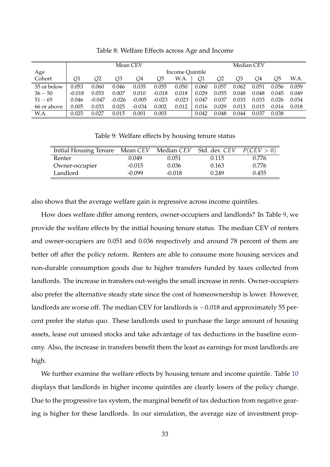<span id="page-32-0"></span>

|             |          |          | Mean CEV |          |          |                 |       |       |       | Median CEV |       |       |
|-------------|----------|----------|----------|----------|----------|-----------------|-------|-------|-------|------------|-------|-------|
| Age         |          |          |          |          |          | Income Quintile |       |       |       |            |       |       |
| Cohort      | Q1       | Q2       | Q3       | Q4       | Q5       | W.A.            | Q1    | Q2    | Q3    | Q4         | Q5    | W.A.  |
| 35 or below | 0.053    | 0.060    | 0.046    | 0.035    | 0.055    | 0.050           | 0.060 | 0.057 | 0.062 | 0.051      | 0.056 | 0.059 |
| $36 - 50$   | $-0.018$ | 0.053    | 0.007    | 0.010    | $-0.018$ | 0.018           | 0.029 | 0.055 | 0.048 | 0.048      | 0.045 | 0.049 |
| $51 - 65$   | 0.046    | $-0.047$ | $-0.026$ | $-0.005$ | $-0.023$ | $-0.023$        | 0.047 | 0.037 | 0.033 | 0.033      | 0.026 | 0.034 |
| 66 or above | 0.005    | 0.033    | 0.025    | $-0.034$ | 0.002    | 0.012           | 0.016 | 0.029 | 0.013 | 0.015      | 0.016 | 0.018 |
| W.A.        | 0.025    | 0.027    | 0.015    | 0.001    | 0.003    |                 | 0.042 | 0.048 | 0.044 | 0.037      | 0.038 |       |

Table 8: Welfare Effects across Age and Income

Table 9: Welfare effects by housing tenure status

<span id="page-32-1"></span>

| Initial Housing Tenure Mean CEV |          |          | Median CEV Std. dev. CEV | P(CEV > 0) |
|---------------------------------|----------|----------|--------------------------|------------|
| Renter                          | 0.049    | 0.051    | 0.115                    | 0.776      |
| Owner-occupier                  | $-0.015$ | 0.036    | 0.163                    | 0.776      |
| Landlord                        | -0.099   | $-0.018$ | 0.249                    | 0.455      |

also shows that the average welfare gain is regressive across income quintiles.

How does welfare differ among renters, owner-occupiers and landlords? In Table [9,](#page-32-1) we provide the welfare effects by the initial housing tenure status. The median CEV of renters and owner-occupiers are 0.051 and 0.036 respectively and around 78 percent of them are better off after the policy reform. Renters are able to consume more housing services and non-durable consumption goods due to higher transfers funded by taxes collected from landlords. The increase in transfers out-weighs the small increase in rents. Owner-occupiers also prefer the alternative steady state since the cost of homeownership is lower. However, landlords are worse off. The median CEV for landlords is −0.018 and approximately 55 percent prefer the status quo. These landlords used to purchase the large amount of housing assets, lease out unused stocks and take advantage of tax deductions in the baseline economy. Also, the increase in transfers benefit them the least as earnings for most landlords are high.

We further examine the welfare effects by housing tenure and income quintile. Table [10](#page-33-0) displays that landlords in higher income quintiles are clearly losers of the policy change. Due to the progressive tax system, the marginal benefit of tax deduction from negative gearing is higher for these landlords. In our simulation, the average size of investment prop-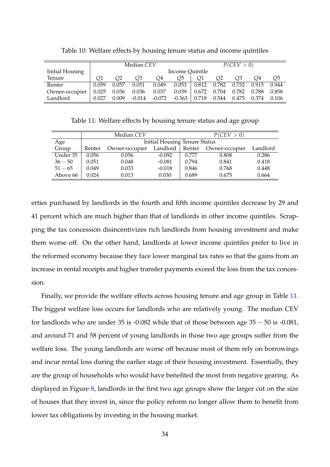<span id="page-33-0"></span>

|                        |       | Median CEV |          |          |                 |       | P(CEV > 0) |       |       |       |
|------------------------|-------|------------|----------|----------|-----------------|-------|------------|-------|-------|-------|
| <b>Initial Housing</b> |       |            |          |          | Income Quintile |       |            |       |       |       |
| Tenure                 |       | Ο2         | O3       | O4       | O5              | Ο1    | Ο2         | O3    | O4    | Q5    |
| Renter                 | 0.059 | 0.057      | 0.051    | 0.049    | 0.053           | 0.812 | 0.782      | 0.732 | 0.915 | 0.944 |
| Owner-occupier         | 0.025 | 0.036      | 0.036    | 0.037    | 0.039           | 0.672 | 0.704      | 0.782 | 0.788 | 0.858 |
| Landlord               | 0.027 | 0.009      | $-0.014$ | $-0.072$ | $-0.363$        | 0.718 | 0.544      | 0.475 | 0.374 | 0.106 |

Table 10: Welfare effects by housing tenure status and income quintiles

Table 11: Welfare effects by housing tenure status and age group

<span id="page-33-1"></span>

|           |        | Median CEV     |                                      | P(CEV > 0) |                |          |  |
|-----------|--------|----------------|--------------------------------------|------------|----------------|----------|--|
| Age       |        |                | <b>Initial Housing Tenure Status</b> |            |                |          |  |
| Group     | Renter | Owner-occupier | Landlord                             | Renter     | Owner-occupier | Landlord |  |
| Under 35  | 0.056  | 0.056          | $-0.092$                             | 0.777      | 0.808          | 0.286    |  |
| $36 - 50$ | 0.051  | 0.048          | $-0.081$                             | 0.794      | 0.841          | 0.418    |  |
| $51 - 65$ | 0.049  | 0.033          | $-0.018$                             | 0.846      | 0.768          | 0.448    |  |
| Above 66  | 0.024  | 0.013          | 0.030                                | 0.689      | 0.675          | 0.664    |  |

erties purchased by landlords in the fourth and fifth income quintiles decrease by 29 and 41 percent which are much higher than that of landlords in other income quintiles. Scrapping the tax concession disincentivizes rich landlords from housing investment and make them worse off. On the other hand, landlords at lower income quintiles prefer to live in the reformed economy because they face lower marginal tax rates so that the gains from an increase in rental receipts and higher transfer payments exceed the loss from the tax concession.

Finally, we provide the welfare effects across housing tenure and age group in Table [11.](#page-33-1) The biggest welfare loss occurs for landlords who are relatively young. The median CEV for landlords who are under 35 is -0.082 while that of those between age  $35 - 50$  is -0.081, and around 71 and 58 percent of young landlords in those two age groups suffer from the welfare loss. The young landlords are worse off because most of them rely on borrowings and incur rental loss during the earlier stage of their housing investment. Essentially, they are the group of households who would have benefited the most from negative gearing. As displayed in Figure [8,](#page-34-1) landlords in the first two age groups show the larger cut on the size of houses that they invest in, since the policy reform no longer allow them to benefit from lower tax obligations by investing in the housing market.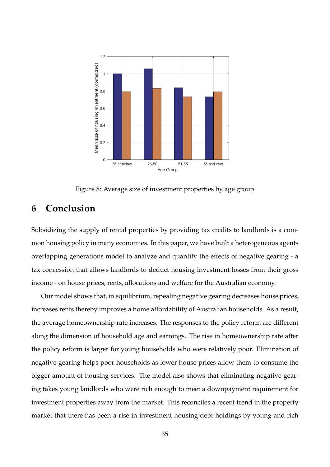<span id="page-34-1"></span>

Figure 8: Average size of investment properties by age group

## <span id="page-34-0"></span>**6 Conclusion**

Subsidizing the supply of rental properties by providing tax credits to landlords is a common housing policy in many economies. In this paper, we have built a heterogeneous agents overlapping generations model to analyze and quantify the effects of negative gearing - a tax concession that allows landlords to deduct housing investment losses from their gross income - on house prices, rents, allocations and welfare for the Australian economy.

Our model shows that, in equilibrium, repealing negative gearing decreases house prices, increases rents thereby improves a home affordability of Australian households. As a result, the average homeownership rate increases. The responses to the policy reform are different along the dimension of household age and earnings. The rise in homeownership rate after the policy reform is larger for young households who were relatively poor. Elimination of negative gearing helps poor households as lower house prices allow them to consume the bigger amount of housing services. The model also shows that eliminating negative gearing takes young landlords who were rich enough to meet a downpayment requirement for investment properties away from the market. This reconciles a recent trend in the property market that there has been a rise in investment housing debt holdings by young and rich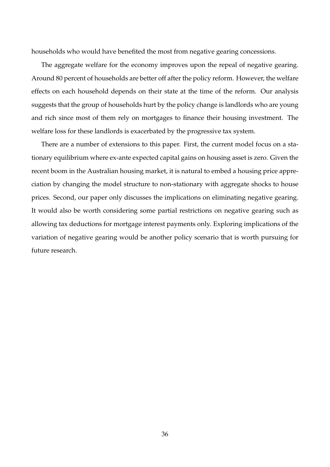households who would have benefited the most from negative gearing concessions.

The aggregate welfare for the economy improves upon the repeal of negative gearing. Around 80 percent of households are better off after the policy reform. However, the welfare effects on each household depends on their state at the time of the reform. Our analysis suggests that the group of households hurt by the policy change is landlords who are young and rich since most of them rely on mortgages to finance their housing investment. The welfare loss for these landlords is exacerbated by the progressive tax system.

There are a number of extensions to this paper. First, the current model focus on a stationary equilibrium where ex-ante expected capital gains on housing asset is zero. Given the recent boom in the Australian housing market, it is natural to embed a housing price appreciation by changing the model structure to non-stationary with aggregate shocks to house prices. Second, our paper only discusses the implications on eliminating negative gearing. It would also be worth considering some partial restrictions on negative gearing such as allowing tax deductions for mortgage interest payments only. Exploring implications of the variation of negative gearing would be another policy scenario that is worth pursuing for future research.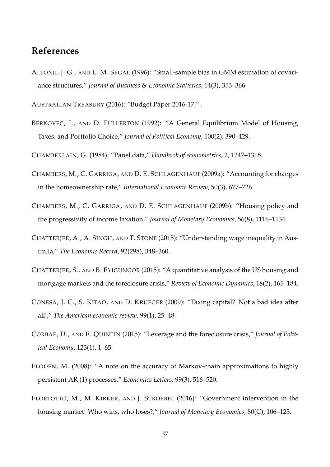### **References**

<span id="page-36-10"></span>ALTONJI, J. G., AND L. M. SEGAL (1996): "Small-sample bias in GMM estimation of covariance structures," *Journal of Business & Economic Statistics*, 14(3), 353–366.

<span id="page-36-0"></span>AUSTRALIAN TREASURY (2016): "Budget Paper 2016-17," .

- <span id="page-36-5"></span>BERKOVEC, J., AND D. FULLERTON (1992): "A General Equilibrium Model of Housing, Taxes, and Portfolio Choice," *Journal of Political Economy*, 100(2), 390–429.
- <span id="page-36-9"></span>CHAMBERLAIN, G. (1984): "Panel data," *Handbook of econometrics*, 2, 1247–1318.
- <span id="page-36-6"></span>CHAMBERS, M., C. GARRIGA, AND D. E. SCHLAGENHAUF (2009a): "Accounting for changes in the homeownership rate," *International Economic Review*, 50(3), 677–726.
- <span id="page-36-3"></span>CHAMBERS, M., C. GARRIGA, AND D. E. SCHLAGENHAUF (2009b): "Housing policy and the progressivity of income taxation," *Journal of Monetary Economics*, 56(8), 1116–1134.
- <span id="page-36-11"></span>CHATTERJEE, A., A. SINGH, AND T. STONE (2015): "Understanding wage inequality in Australia," *The Economic Record*, 92(298), 348–360.
- <span id="page-36-1"></span>CHATTERJEE, S., AND B. EYIGUNGOR (2015): "A quantitative analysis of the US housing and mortgage markets and the foreclosure crisis," *Review of Economic Dynamics*, 18(2), 165–184.
- <span id="page-36-8"></span>CONESA, J. C., S. KITAO, AND D. KRUEGER (2009): "Taxing capital? Not a bad idea after all!," *The American economic review*, 99(1), 25–48.
- <span id="page-36-2"></span>CORBAE, D., AND E. QUINTIN (2015): "Leverage and the foreclosure crisis," *Journal of Political Economy*, 123(1), 1–65.
- <span id="page-36-7"></span>FLODEN, M. (2008): "A note on the accuracy of Markov-chain approximations to highly persistent AR (1) processes," *Economics Letters*, 99(3), 516–520.
- <span id="page-36-4"></span>FLOETOTTO, M., M. KIRKER, AND J. STROEBEL (2016): "Government intervention in the housing market: Who wins, who loses?," *Journal of Monetary Economics*, 80(C), 106–123.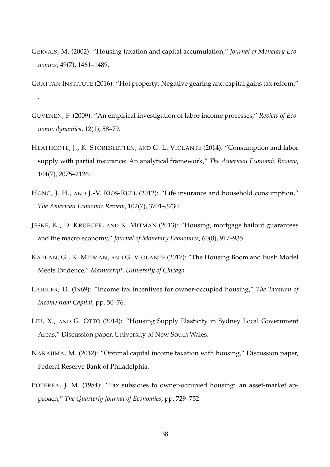<span id="page-37-3"></span>GERVAIS, M. (2002): "Housing taxation and capital accumulation," *Journal of Monetary Economics*, 49(7), 1461–1489.

<span id="page-37-0"></span>GRATTAN INSTITUTE (2016): "Hot property: Negative gearing and capital gains tax reform,"

.

- <span id="page-37-10"></span>GUVENEN, F. (2009): "An empirical investigation of labor income processes," *Review of Economic dynamics*, 12(1), 58–79.
- <span id="page-37-9"></span>HEATHCOTE, J., K. STORESLETTEN, AND G. L. VIOLANTE (2014): "Consumption and labor supply with partial insurance: An analytical framework," *The American Economic Review*, 104(7), 2075–2126.
- <span id="page-37-7"></span>HONG, J. H., AND J.-V. RÍOS-RULL (2012): "Life insurance and household consumption," *The American Economic Review*, 102(7), 3701–3730.
- <span id="page-37-1"></span>JESKE, K., D. KRUEGER, AND K. MITMAN (2013): "Housing, mortgage bailout guarantees and the macro economy," *Journal of Monetary Economics*, 60(8), 917–935.
- <span id="page-37-2"></span>KAPLAN, G., K. MITMAN, AND G. VIOLANTE (2017): "The Housing Boom and Bust: Model Meets Evidence," *Manuscript, University of Chicago*.
- <span id="page-37-4"></span>LAIDLER, D. (1969): "Income tax incentives for owner-occupied housing," *The Taxation of Income from Capital*, pp. 50–76.
- <span id="page-37-6"></span>LIU, X., AND G. OTTO (2014): "Housing Supply Elasticity in Sydney Local Government Areas," Discussion paper, University of New South Wales.
- <span id="page-37-8"></span>NAKAJIMA, M. (2012): "Optimal capital income taxation with housing," Discussion paper, Federal Reserve Bank of Philadelphia.
- <span id="page-37-5"></span>POTERBA, J. M. (1984): "Tax subsidies to owner-occupied housing: an asset-market approach," *The Quarterly Journal of Economics*, pp. 729–752.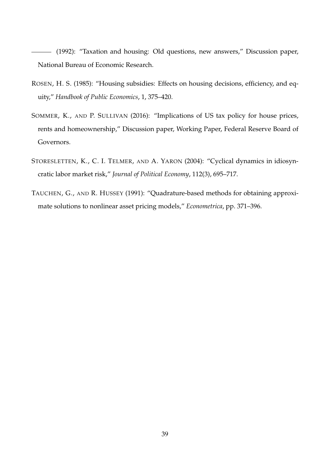<span id="page-38-2"></span>(1992): "Taxation and housing: Old questions, new answers," Discussion paper, National Bureau of Economic Research.

- <span id="page-38-1"></span>ROSEN, H. S. (1985): "Housing subsidies: Effects on housing decisions, efficiency, and equity," *Handbook of Public Economics*, 1, 375–420.
- <span id="page-38-0"></span>SOMMER, K., AND P. SULLIVAN (2016): "Implications of US tax policy for house prices, rents and homeownership," Discussion paper, Working Paper, Federal Reserve Board of Governors.
- <span id="page-38-4"></span>STORESLETTEN, K., C. I. TELMER, AND A. YARON (2004): "Cyclical dynamics in idiosyncratic labor market risk," *Journal of Political Economy*, 112(3), 695–717.
- <span id="page-38-3"></span>TAUCHEN, G., AND R. HUSSEY (1991): "Quadrature-based methods for obtaining approximate solutions to nonlinear asset pricing models," *Econometrica*, pp. 371–396.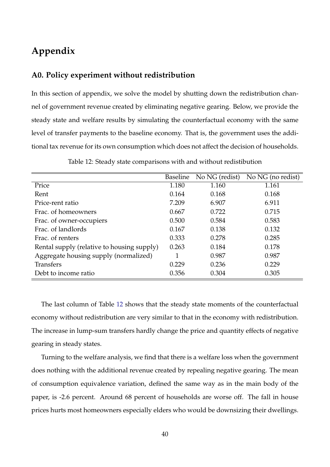# **Appendix**

### **A0. Policy experiment without redistribution**

In this section of appendix, we solve the model by shutting down the redistribution channel of government revenue created by eliminating negative gearing. Below, we provide the steady state and welfare results by simulating the counterfactual economy with the same level of transfer payments to the baseline economy. That is, the government uses the additional tax revenue for its own consumption which does not affect the decision of households.

<span id="page-39-0"></span>

|                                            | <b>Baseline</b> | No NG (redist) | $\overline{N}$ o NG (no redist) |
|--------------------------------------------|-----------------|----------------|---------------------------------|
| Price                                      | 1.180           | 1.160          | 1.161                           |
| Rent                                       | 0.164           | 0.168          | 0.168                           |
| Price-rent ratio                           | 7.209           | 6.907          | 6.911                           |
| Frac. of homeowners                        | 0.667           | 0.722          | 0.715                           |
| Frac. of owner-occupiers                   | 0.500           | 0.584          | 0.583                           |
| Frac. of landlords                         | 0.167           | 0.138          | 0.132                           |
| Frac. of renters                           | 0.333           | 0.278          | 0.285                           |
| Rental supply (relative to housing supply) | 0.263           | 0.184          | 0.178                           |
| Aggregate housing supply (normalized)      | 1               | 0.987          | 0.987                           |
| <b>Transfers</b>                           | 0.229           | 0.236          | 0.229                           |
| Debt to income ratio                       | 0.356           | 0.304          | 0.305                           |

Table 12: Steady state comparisons with and without redistibution

The last column of Table [12](#page-39-0) shows that the steady state moments of the counterfactual economy without redistribution are very similar to that in the economy with redistribution. The increase in lump-sum transfers hardly change the price and quantity effects of negative gearing in steady states.

Turning to the welfare analysis, we find that there is a welfare loss when the government does nothing with the additional revenue created by repealing negative gearing. The mean of consumption equivalence variation, defined the same way as in the main body of the paper, is -2.6 percent. Around 68 percent of households are worse off. The fall in house prices hurts most homeowners especially elders who would be downsizing their dwellings.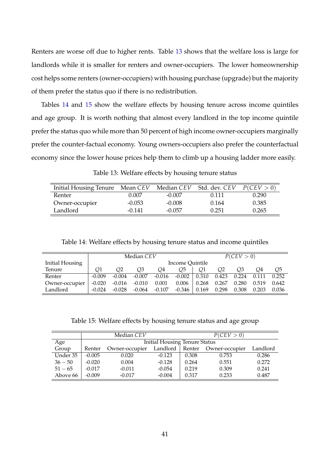Renters are worse off due to higher rents. Table [13](#page-40-0) shows that the welfare loss is large for landlords while it is smaller for renters and owner-occupiers. The lower homeownership cost helps some renters (owner-occupiers) with housing purchase (upgrade) but the majority of them prefer the status quo if there is no redistribution.

Tables [14](#page-40-1) and [15](#page-40-2) show the welfare effects by housing tenure across income quintiles and age group. It is worth nothing that almost every landlord in the top income quintile prefer the status quo while more than 50 percent of high income owner-occupiers marginally prefer the counter-factual economy. Young owners-occupiers also prefer the counterfactual economy since the lower house prices help them to climb up a housing ladder more easily.

<span id="page-40-0"></span>

| Initial Housing Tenure | Mean CEV | Median CEV | Std. dev. CEV | P(CEV > 0) |
|------------------------|----------|------------|---------------|------------|
| Renter                 | 0.007    | $-0.007$   | 0.111         | 0.290      |
| Owner-occupier         | $-0.053$ | $-0.008$   | 0.164         | 0.385      |
| Landlord               | $-0.141$ | $-0.057$   | 0.251         | 0.265      |

Table 14: Welfare effects by housing tenure status and income quintiles

<span id="page-40-1"></span>

|                        | Median CEV      |          |          |          | P(CEV > 0) |       |       |       |       |       |
|------------------------|-----------------|----------|----------|----------|------------|-------|-------|-------|-------|-------|
| <b>Initial Housing</b> | Income Quintile |          |          |          |            |       |       |       |       |       |
| Tenure                 | Ο1              | Ο2       | O3       | O4       | O5         |       | O2    | O3    | O4    | Q5    |
| Renter                 | $-0.009$        | $-0.004$ | $-0.007$ | $-0.016$ | $-0.002$   | 0.310 | 0.423 | 0.224 | 0.111 | 0.252 |
| Owner-occupier         | $-0.020$        | $-0.016$ | $-0.010$ | 0.001    | 0.006      | 0.268 | 0.267 | 0.280 | 0.519 | 0.642 |
| Landlord               | $-0.024$        | $-0.028$ | $-0.064$ | $-0.107$ | $-0.346$   | 0.169 | 0.298 | 0.308 | 0.203 | 0.036 |

Table 15: Welfare effects by housing tenure status and age group

<span id="page-40-2"></span>

|           |          | Median CEV                           |          | P(CEV > 0) |                |          |  |
|-----------|----------|--------------------------------------|----------|------------|----------------|----------|--|
| Age       |          | <b>Initial Housing Tenure Status</b> |          |            |                |          |  |
| Group     | Renter   | Owner-occupier                       | Landlord | Renter     | Owner-occupier | Landlord |  |
| Under 35  | $-0.005$ | 0.020                                | $-0.123$ | 0.308      | 0.753          | 0.286    |  |
| $36 - 50$ | $-0.020$ | 0.004                                | $-0.128$ | 0.264      | 0.551          | 0.272    |  |
| $51 - 65$ | $-0.017$ | $-0.011$                             | $-0.054$ | 0.219      | 0.309          | 0.241    |  |
| Above 66  | $-0.009$ | $-0.017$                             | $-0.004$ | 0.317      | 0.233          | 0.487    |  |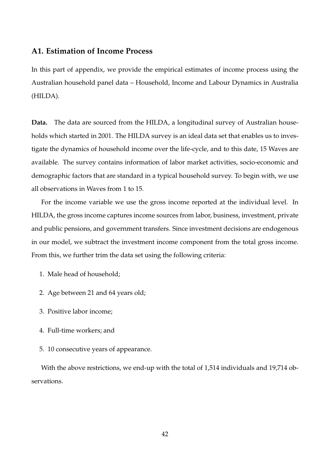### **A1. Estimation of Income Process**

In this part of appendix, we provide the empirical estimates of income process using the Australian household panel data – Household, Income and Labour Dynamics in Australia (HILDA).

**Data.** The data are sourced from the HILDA, a longitudinal survey of Australian households which started in 2001. The HILDA survey is an ideal data set that enables us to investigate the dynamics of household income over the life-cycle, and to this date, 15 Waves are available. The survey contains information of labor market activities, socio-economic and demographic factors that are standard in a typical household survey. To begin with, we use all observations in Waves from 1 to 15.

For the income variable we use the gross income reported at the individual level. In HILDA, the gross income captures income sources from labor, business, investment, private and public pensions, and government transfers. Since investment decisions are endogenous in our model, we subtract the investment income component from the total gross income. From this, we further trim the data set using the following criteria:

- 1. Male head of household;
- 2. Age between 21 and 64 years old;
- 3. Positive labor income;
- 4. Full-time workers; and
- 5. 10 consecutive years of appearance.

With the above restrictions, we end-up with the total of 1,514 individuals and 19,714 observations.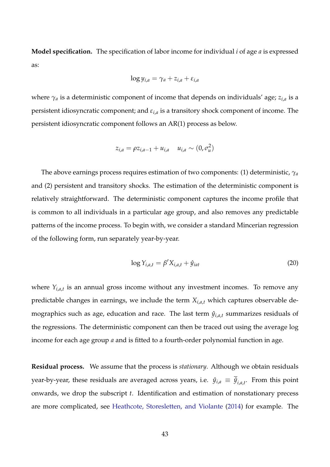**Model specification.** The specification of labor income for individual *i* of age *a* is expressed as:

$$
\log y_{i,a} = \gamma_a + z_{i,a} + \varepsilon_{i,a}
$$

where *γ<sup>a</sup>* is a deterministic component of income that depends on individuals' age; *zi*,*<sup>a</sup>* is a persistent idiosyncratic component; and *εi*,*<sup>a</sup>* is a transitory shock component of income. The persistent idiosyncratic component follows an AR(1) process as below.

$$
z_{i,a} = \rho z_{i,a-1} + u_{i,a} \quad u_{i,a} \sim (0, \sigma_u^2)
$$

The above earnings process requires estimation of two components: (1) deterministic, *γ<sup>a</sup>* and (2) persistent and transitory shocks. The estimation of the deterministic component is relatively straightforward. The deterministic component captures the income profile that is common to all individuals in a particular age group, and also removes any predictable patterns of the income process. To begin with, we consider a standard Mincerian regression of the following form, run separately year-by-year.

$$
\log Y_{i,a,t} = \beta' X_{i,a,t} + \hat{y}_{iat} \tag{20}
$$

where *Yi*,*a*,*<sup>t</sup>* is an annual gross income without any investment incomes. To remove any predictable changes in earnings, we include the term *Xi*,*a*,*<sup>t</sup>* which captures observable demographics such as age, education and race. The last term  $\hat{y}_{i,a,t}$  summarizes residuals of the regressions. The deterministic component can then be traced out using the average log income for each age group *a* and is fitted to a fourth-order polynomial function in age.

**Residual process.** We assume that the process is *stationary*. Although we obtain residuals year-by-year, these residuals are averaged across years, i.e.  $\hat{y}_{i,a}\equiv\overline{\hat{y}}_{i,a,t}.$  From this point onwards, we drop the subscript *t*. Identification and estimation of nonstationary precess are more complicated, see [Heathcote, Storesletten, and Violante](#page-37-9) [\(2014\)](#page-37-9) for example. The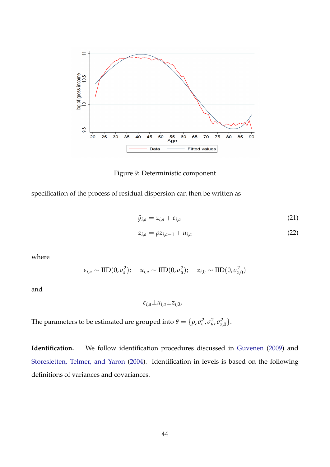

Figure 9: Deterministic component

specification of the process of residual dispersion can then be written as

$$
\hat{y}_{i,a} = z_{i,a} + \varepsilon_{i,a} \tag{21}
$$

$$
z_{i,a} = \rho z_{i,a-1} + u_{i,a}
$$
 (22)

where

$$
\varepsilon_{i,a} \sim \text{IID}(0, \sigma_{\varepsilon}^2); \quad u_{i,a} \sim \text{IID}(0, \sigma_u^2); \quad z_{i,0} \sim \text{IID}(0, \sigma_{z,0}^2)
$$

and

*εi*,*a*⊥*ui*,*a*⊥*zi*,0,

The parameters to be estimated are grouped into  $\theta = \{\rho, \sigma_{\varepsilon}^2\}$ *ε* , *σ* 2 *u* , *σ* 2 *<sup>z</sup>*,0}.

**Identification.** We follow identification procedures discussed in [Guvenen](#page-37-10) [\(2009\)](#page-37-10) and [Storesletten, Telmer, and Yaron](#page-38-4) [\(2004\)](#page-38-4). Identification in levels is based on the following definitions of variances and covariances.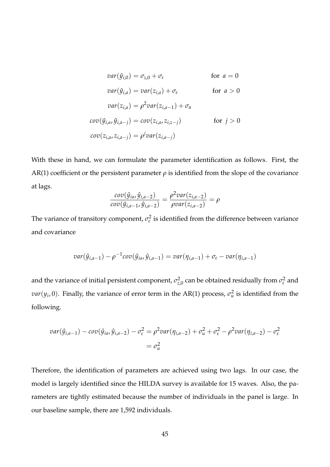$$
var(\hat{y}_{i,0}) = \sigma_{z,0} + \sigma_{\varepsilon} \qquad \text{for } a = 0
$$
  

$$
var(\hat{y}_{i,a}) = var(z_{i,a}) + \sigma_{\varepsilon} \qquad \text{for } a > 0
$$
  

$$
var(z_{i,a}) = \rho^2 var(z_{i,a-1}) + \sigma_u
$$
  

$$
cov(\hat{y}_{i,a}, \hat{y}_{i,a-j}) = cov(z_{i,a}, z_{i,z-j}) \qquad \text{for } j > 0
$$
  

$$
cov(z_{i,a}, z_{i,a-j}) = \rho^j var(z_{i,a-j})
$$

With these in hand, we can formulate the parameter identification as follows. First, the AR(1) coefficient or the persistent parameter  $\rho$  is identified from the slope of the covariance at lags.

$$
\frac{cov(\hat{y}_{ia}, \hat{y}_{i,a-2})}{cov(\hat{y}_{i,a-1}, \hat{y}_{i,a-2})} = \frac{\rho^2 var(z_{i,a-2})}{\rho var(z_{i,a-2})} = \rho
$$

The variance of transitory component,  $\sigma_{\varepsilon}^2$  $\frac{1}{\varepsilon}$  is identified from the difference between variance and covariance

$$
var(\hat{y}_{i,a-1}) - \rho^{-1}cov(\hat{y}_{ia}, \hat{y}_{i,a-1}) = var(\eta_{i,a-1}) + \sigma_{\varepsilon} - var(\eta_{i,a-1})
$$

and the variance of initial persistent component,  $\sigma_{z,0}^2$  can be obtained residually from  $\sigma_{\varepsilon}^2$  and *var*( $y_i$ , 0). Finally, the variance of error term in the AR(1) process,  $\sigma_u^2$  is identified from the following.

$$
var(\hat{y}_{i,a-1}) - cov(\hat{y}_{ia}, \hat{y}_{i,a-2}) - \sigma_{\varepsilon}^2 = \rho^2 var(\eta_{i,a-2}) + \sigma_u^2 + \sigma_{\varepsilon}^2 - \rho^2 var(\eta_{i,a-2}) - \sigma_{\varepsilon}^2
$$
  
=  $\sigma_u^2$ 

Therefore, the identification of parameters are achieved using two lags. In our case, the model is largely identified since the HILDA survey is available for 15 waves. Also, the parameters are tightly estimated because the number of individuals in the panel is large. In our baseline sample, there are 1,592 individuals.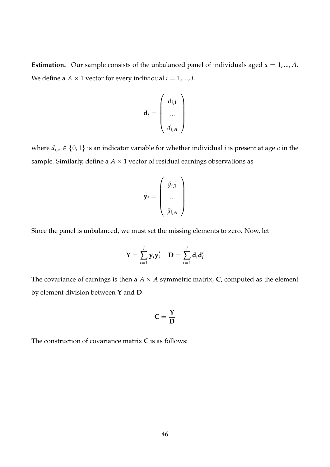**Estimation.** Our sample consists of the unbalanced panel of individuals aged  $a = 1, ..., A$ . We define a  $A \times 1$  vector for every individual  $i = 1, ..., I$ .

$$
\mathbf{d}_i = \left(\begin{array}{c} d_{i,1} \\ \dots \\ d_{i,A} \end{array}\right)
$$

where  $d_{i,a} \in \{0,1\}$  is an indicator variable for whether individual *i* is present at age *a* in the sample. Similarly, define a  $A \times 1$  vector of residual earnings observations as

$$
\mathbf{y}_i = \left(\begin{array}{c} \hat{y}_{i,1} \\ ... \\ \hat{y}_{i,A} \end{array}\right)
$$

Since the panel is unbalanced, we must set the missing elements to zero. Now, let

$$
\mathbf{Y} = \sum_{i=1}^{I} \mathbf{y}_i \mathbf{y}_i' \quad \mathbf{D} = \sum_{i=1}^{I} \mathbf{d}_i \mathbf{d}_i'
$$

The covariance of earnings is then a  $A \times A$  symmetric matrix, **C**, computed as the element by element division between **Y** and **D**

$$
C=\frac{\Upsilon}{D}
$$

The construction of covariance matrix **C** is as follows: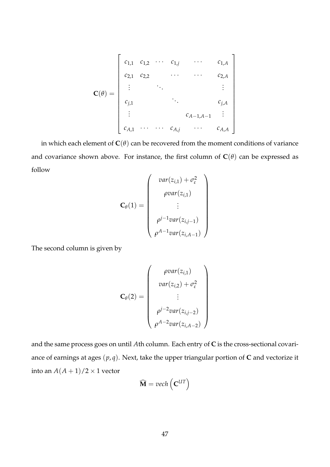$$
\mathbf{C}(\theta) = \begin{bmatrix} c_{1,1} & c_{1,2} & \cdots & c_{1,j} & \cdots & c_{1,A} \\ c_{2,1} & c_{2,2} & \cdots & \cdots & c_{2,A} \\ \vdots & \ddots & \vdots & \vdots \\ c_{j,1} & & & c_{j,A} \\ \vdots & & & c_{A-1,A-1} & \vdots \\ c_{A,1} & \cdots & \cdots & c_{A,j} & \cdots & c_{A,A} \end{bmatrix}
$$

in which each element of  $C(\theta)$  can be recovered from the moment conditions of variance and covariance shown above. For instance, the first column of  $C(\theta)$  can be expressed as follow  $\overline{ }$ 

$$
\mathbf{C}_{\theta}(1) = \begin{pmatrix} var(z_{i,1}) + \sigma_{\varepsilon}^{2} \\ \rho var(z_{i,1}) \\ \vdots \\ \rho^{j-1} var(z_{i,j-1}) \\ \rho^{A-1} var(z_{i,A-1}) \end{pmatrix}
$$

The second column is given by

$$
\mathbf{C}_{\theta}(2) = \begin{pmatrix} \rho var(z_{i,1}) \\ var(z_{i,2}) + \sigma_{\varepsilon}^2 \\ \vdots \\ \rho^{j-2}var(z_{i,j-2}) \\ \rho^{A-2}var(z_{i,A-2}) \end{pmatrix}
$$

and the same process goes on until *A*th column. Each entry of **C** is the cross-sectional covariance of earnings at ages (*p*, *q*). Next, take the upper triangular portion of **C** and vectorize it into an  $A(A + 1)/2 \times 1$  vector

$$
\widehat{\mathbf{M}} = vech\left(\mathbf{C}^{UT}\right)
$$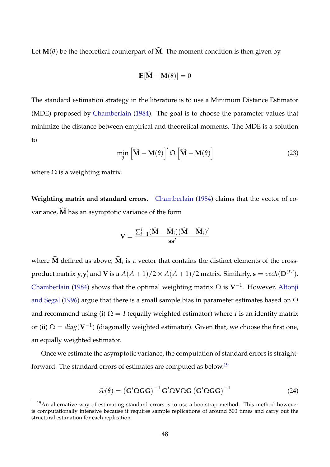Let  $M(\theta)$  be the theoretical counterpart of  $\widehat{M}$ . The moment condition is then given by

$$
\mathbb{E}[\widehat{\mathbf{M}} - \mathbf{M}(\theta)] = 0
$$

The standard estimation strategy in the literature is to use a Minimum Distance Estimator (MDE) proposed by [Chamberlain](#page-36-9) [\(1984\)](#page-36-9). The goal is to choose the parameter values that minimize the distance between empirical and theoretical moments. The MDE is a solution to

$$
\min_{\theta} \left[ \widehat{\mathbf{M}} - \mathbf{M}(\theta) \right]' \Omega \left[ \widehat{\mathbf{M}} - \mathbf{M}(\theta) \right]
$$
 (23)

where  $\Omega$  is a weighting matrix.

**Weighting matrix and standard errors.** [Chamberlain](#page-36-9) [\(1984\)](#page-36-9) claims that the vector of covariance,  $\widehat{M}$  has an asymptotic variance of the form

$$
\mathbf{V} = \frac{\sum_{i=1}^{I} (\widehat{\mathbf{M}} - \widehat{\mathbf{M}}_i)(\widehat{\mathbf{M}} - \widehat{\mathbf{M}}_i)'}{\mathbf{s}\mathbf{s}'}
$$

where  $M$  defined as above;  $M_i$  is a vector that contains the distinct elements of the crossproduct matrix **y***i***y** 0  $a'_i$  and **V** is a  $A(A+1)/2 \times A(A+1)/2$  matrix. Similarly,  $\mathbf{s} = vech(\mathbf{D}^{UT}).$ [Chamberlain](#page-36-9) [\(1984\)](#page-36-9) shows that the optimal weighting matrix Ω is **V**−<sup>1</sup> . However, [Altonji](#page-36-10) [and Segal](#page-36-10) [\(1996\)](#page-36-10) argue that there is a small sample bias in parameter estimates based on  $\Omega$ and recommend using (i)  $\Omega = I$  (equally weighted estimator) where *I* is an identity matrix or (ii)  $\Omega = diag(\mathbf{V}^{-1})$  (diagonally weighted estimator). Given that, we choose the first one, an equally weighted estimator.

Once we estimate the asymptotic variance, the computation of standard errors is straightforward. The standard errors of estimates are computed as below.[19](#page-47-0)

$$
\widehat{se}(\widehat{\theta}) = (\mathbf{G}' \Omega \mathbf{G} \mathbf{G})^{-1} \mathbf{G}' \Omega \mathbf{V} \Omega \mathbf{G} (\mathbf{G}' \Omega \mathbf{G} \mathbf{G})^{-1}
$$
(24)

<span id="page-47-0"></span> $19$ An alternative way of estimating standard errors is to use a bootstrap method. This method however is computationally intensive because it requires sample replications of around 500 times and carry out the structural estimation for each replication.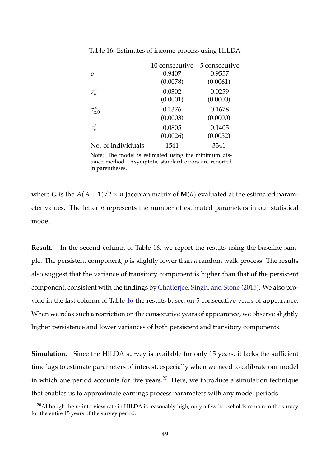|                    | 10 consecutive | 5 consecutive |
|--------------------|----------------|---------------|
| $\rho$             | 0.9407         | 0.9557        |
|                    | (0.0078)       | (0.0061)      |
| $\sigma^2_u$       | 0.0302         | 0.0259        |
|                    | (0.0001)       | (0.0000)      |
| $\sigma_{z,0}^2$   | 0.1376         | 0.1678        |
|                    | (0.0003)       | (0.0000)      |
| $\sigma_{\rm s}^2$ | 0.0805         | 0.1405        |
|                    | (0.0026)       | (0.0052)      |
| No. of individuals | 1541           | 3341          |

<span id="page-48-0"></span>Table 16: Estimates of income process using HILDA

Note: The model is estimated using the minimum distance method. Asymptotic standard errors are reported in parentheses.

where **G** is the  $A(A + 1)/2 \times n$  Jacobian matrix of  $M(\theta)$  evaluated at the estimated parameter values. The letter *n* represents the number of estimated parameters in our statistical model.

**Result.** In the second column of Table [16,](#page-48-0) we report the results using the baseline sample. The persistent component, *ρ* is slightly lower than a random walk process. The results also suggest that the variance of transitory component is higher than that of the persistent component, consistent with the findings by [Chatterjee, Singh, and Stone](#page-36-11) [\(2015\)](#page-36-11). We also provide in the last column of Table [16](#page-48-0) the results based on 5 consecutive years of appearance. When we relax such a restriction on the consecutive years of appearance, we observe slightly higher persistence and lower variances of both persistent and transitory components.

**Simulation.** Since the HILDA survey is available for only 15 years, it lacks the sufficient time lags to estimate parameters of interest, especially when we need to calibrate our model in which one period accounts for five years.<sup>[20](#page-48-1)</sup> Here, we introduce a simulation technique that enables us to approximate earnings process parameters with any model periods.

<span id="page-48-1"></span> $20$ Although the re-interview rate in HILDA is reasonably high, only a few households remain in the survey for the entire 15 years of the survey period.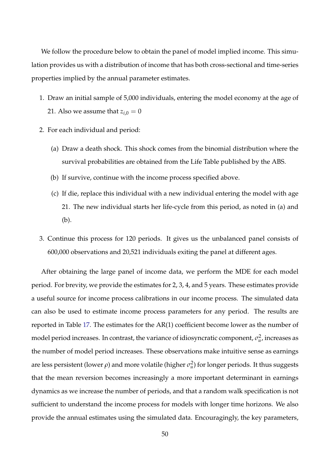We follow the procedure below to obtain the panel of model implied income. This simulation provides us with a distribution of income that has both cross-sectional and time-series properties implied by the annual parameter estimates.

- 1. Draw an initial sample of 5,000 individuals, entering the model economy at the age of 21. Also we assume that  $z_{i,0} = 0$
- 2. For each individual and period:
	- (a) Draw a death shock. This shock comes from the binomial distribution where the survival probabilities are obtained from the Life Table published by the ABS.
	- (b) If survive, continue with the income process specified above.
	- (c) If die, replace this individual with a new individual entering the model with age 21. The new individual starts her life-cycle from this period, as noted in (a) and (b).
- 3. Continue this process for 120 periods. It gives us the unbalanced panel consists of 600,000 observations and 20,521 individuals exiting the panel at different ages.

After obtaining the large panel of income data, we perform the MDE for each model period. For brevity, we provide the estimates for 2, 3, 4, and 5 years. These estimates provide a useful source for income process calibrations in our income process. The simulated data can also be used to estimate income process parameters for any period. The results are reported in Table [17.](#page-50-0) The estimates for the AR(1) coefficient become lower as the number of model period increases. In contrast, the variance of idiosyncratic component,  $\sigma^2_u$ , increases as the number of model period increases. These observations make intuitive sense as earnings are less persistent (lower  $\rho$ ) and more volatile (higher  $\sigma_u^2$ ) for longer periods. It thus suggests that the mean reversion becomes increasingly a more important determinant in earnings dynamics as we increase the number of periods, and that a random walk specification is not sufficient to understand the income process for models with longer time horizons. We also provide the annual estimates using the simulated data. Encouragingly, the key parameters,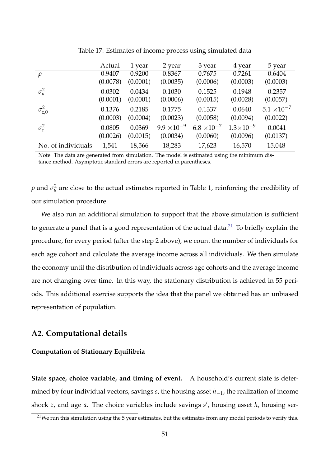<span id="page-50-0"></span>

|                          | Actual   | 1 year   | 2 year               | 3 year               | 4 year               | 5 year               |
|--------------------------|----------|----------|----------------------|----------------------|----------------------|----------------------|
| $\rho$                   | 0.9407   | 0.9200   | 0.8367               | 0.7675               | 0.7261               | 0.6404               |
|                          | (0.0078) | (0.0001) | (0.0035)             | (0.0006)             | (0.0003)             | (0.0003)             |
| $\sigma_u^2$             | 0.0302   | 0.0434   | 0.1030               | 0.1525               | 0.1948               | 0.2357               |
|                          | (0.0001) | (0.0001) | (0.0006)             | (0.0015)             | (0.0028)             | (0.0057)             |
| $\sigma_{z,0}^2$         | 0.1376   | 0.2185   | 0.1775               | 0.1337               | 0.0640               | $5.1 \times 10^{-7}$ |
|                          | (0.0003) | (0.0004) | (0.0023)             | (0.0058)             | (0.0094)             | (0.0022)             |
| $\sigma_{\varepsilon}^2$ | 0.0805   | 0.0369   | $9.9 \times 10^{-9}$ | $6.8 \times 10^{-7}$ | $1.3 \times 10^{-9}$ | 0.0041               |
|                          | (0.0026) | (0.0015) | (0.0034)             | (0.0060)             | (0.0096)             | (0.0137)             |
| No. of individuals       | 1,541    | 18,566   | 18,283               | 17,623               | 16,570               | 15,048               |

Table 17: Estimates of income process using simulated data

Note: The data are generated from simulation. The model is estimated using the minimum distance method. Asymptotic standard errors are reported in parentheses.

*ρ* and  $\sigma_u^2$  are close to the actual estimates reported in Table 1, reinforcing the credibility of our simulation procedure.

We also run an additional simulation to support that the above simulation is sufficient to generate a panel that is a good representation of the actual data. $^{21}$  $^{21}$  $^{21}$  To briefly explain the procedure, for every period (after the step 2 above), we count the number of individuals for each age cohort and calculate the average income across all individuals. We then simulate the economy until the distribution of individuals across age cohorts and the average income are not changing over time. In this way, the stationary distribution is achieved in 55 periods. This additional exercise supports the idea that the panel we obtained has an unbiased representation of population.

### **A2. Computational details**

#### **Computation of Stationary Equilibria**

**State space, choice variable, and timing of event.** A household's current state is determined by four individual vectors, savings *s*, the housing asset *h*−1, the realization of income shock *z*, and age *a*. The choice variables include savings *s'*, housing asset *h*, housing ser-

<span id="page-50-1"></span> $21$ We run this simulation using the 5 year estimates, but the estimates from any model periods to verify this.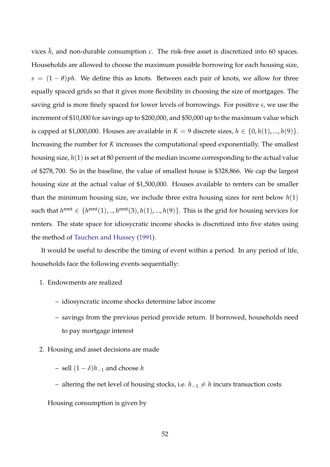vices  $\tilde{h}$ , and non-durable consumption  $c$ . The risk-free asset is discretized into 60 spaces. Households are allowed to choose the maximum possible borrowing for each housing size,  $s = (1 - \theta)ph$ . We define this as knots. Between each pair of knots, we allow for three equally spaced grids so that it gives more flexibility in choosing the size of mortgages. The saving grid is more finely spaced for lower levels of borrowings. For positive *s*, we use the increment of \$10,000 for savings up to \$200,000, and \$50,000 up to the maximum value which is capped at \$1,000,000. Houses are available in  $K = 9$  discrete sizes,  $h \in \{0, h(1), ..., h(9)\}.$ Increasing the number for *K* increases the computational speed exponentially. The smallest housing size, *h*(1) is set at 80 percent of the median income corresponding to the actual value of \$278, 700. So in the baseline, the value of smallest house is \$328,866. We cap the largest housing size at the actual value of \$1,500,000. Houses available to renters can be smaller than the minimum housing size, we include three extra housing sizes for rent below *h*(1) such that  $h^{\text{rent}} \in \{h^{\text{rent}}(1),..,h^{\text{rent}}(3),h(1),...,h(9)\}.$  This is the grid for housing services for renters. The state space for idiosycratic income shocks is discretized into five states using the method of [Tauchen and Hussey](#page-38-3) [\(1991\)](#page-38-3).

It would be useful to describe the timing of event within a period. In any period of life, households face the following events sequentially:

- 1. Endowments are realized
	- idiosyncratic income shocks determine labor income
	- savings from the previous period provide return. If borrowed, households need to pay mortgage interest
- 2. Housing and asset decisions are made
	- sell (1 − *δ*)*h*−<sup>1</sup> and choose *h*
	- altering the net level of housing stocks, i.e. *h*−<sup>1</sup> 6= *h* incurs transaction costs

Housing consumption is given by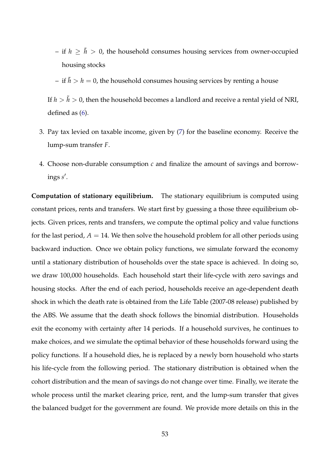- if  $h \geq \tilde{h} > 0$ , the household consumes housing services from owner-occupied housing stocks
- if  $\tilde{h} > h = 0$ , the household consumes housing services by renting a house

If  $h > \tilde{h} > 0$ , then the household becomes a landlord and receive a rental yield of NRI, defined as [\(6\)](#page-11-2).

- 3. Pay tax levied on taxable income, given by [\(7\)](#page-12-0) for the baseline economy. Receive the lump-sum transfer *F*.
- 4. Choose non-durable consumption *c* and finalize the amount of savings and borrowings *s* 0 .

**Computation of stationary equilibrium.** The stationary equilibrium is computed using constant prices, rents and transfers. We start first by guessing a those three equilibrium objects. Given prices, rents and transfers, we compute the optimal policy and value functions for the last period,  $A = 14$ . We then solve the household problem for all other periods using backward induction. Once we obtain policy functions, we simulate forward the economy until a stationary distribution of households over the state space is achieved. In doing so, we draw 100,000 households. Each household start their life-cycle with zero savings and housing stocks. After the end of each period, households receive an age-dependent death shock in which the death rate is obtained from the Life Table (2007-08 release) published by the ABS. We assume that the death shock follows the binomial distribution. Households exit the economy with certainty after 14 periods. If a household survives, he continues to make choices, and we simulate the optimal behavior of these households forward using the policy functions. If a household dies, he is replaced by a newly born household who starts his life-cycle from the following period. The stationary distribution is obtained when the cohort distribution and the mean of savings do not change over time. Finally, we iterate the whole process until the market clearing price, rent, and the lump-sum transfer that gives the balanced budget for the government are found. We provide more details on this in the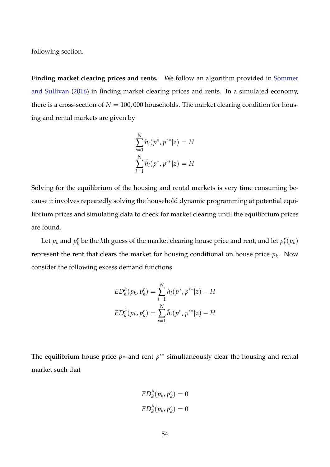following section.

**Finding market clearing prices and rents.** We follow an algorithm provided in [Sommer](#page-38-0) [and Sullivan](#page-38-0) [\(2016\)](#page-38-0) in finding market clearing prices and rents. In a simulated economy, there is a cross-section of  $N = 100,000$  households. The market clearing condition for housing and rental markets are given by

$$
\sum_{i=1}^{N} h_i(p^*, p^{r*}|z) = H
$$
  

$$
\sum_{i=1}^{N} \tilde{h}_i(p^*, p^{r*}|z) = H
$$

Solving for the equilibrium of the housing and rental markets is very time consuming because it involves repeatedly solving the household dynamic programming at potential equilibrium prices and simulating data to check for market clearing until the equilibrium prices are found.

Let  $p_k$  and  $p_k^r$  $\mathbf{p}_k^r$  be the *k*th guess of the market clearing house price and rent, and let  $p_k^r$  $_{k}^{r}(p_{k})$ represent the rent that clears the market for housing conditional on house price *p<sup>k</sup>* . Now consider the following excess demand functions

$$
ED_k^h(p_k, p_k^r) = \sum_{i=1}^N h_i(p^*, p^{r*}|z) - H
$$
  

$$
ED_k^{\tilde{h}}(p_k, p_k^r) = \sum_{i=1}^N \tilde{h}_i(p^*, p^{r*}|z) - H
$$

The equilibrium house price *p*∗ and rent *p*<sup>*r*∗</sup> simultaneously clear the housing and rental market such that

$$
ED_k^h(p_k, p_k^r) = 0
$$
  

$$
ED_k^{\tilde{h}}(p_k, p_k^r) = 0
$$